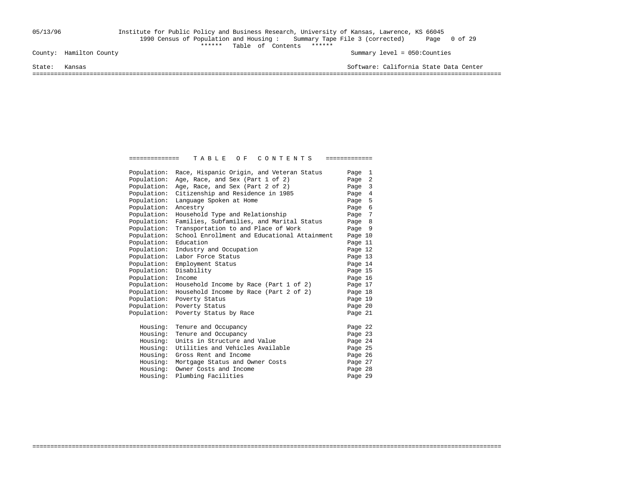### 05/13/96 Institute for Public Policy and Business Research, University of Kansas, Lawrence, KS 66045 1990 Census of Population and Housing : Summary Tape File 3 (corrected) Page 0 of 29 County: Hamilton County<br>
Table of Contents \*\*\*\*\*\*\*

Summary level =  $050$ : Counties

State: Kansas Software: California State Data Center

===================================================================================================================================

| Population: | Race, Hispanic Origin, and Veteran Status    | Page 1  |  |
|-------------|----------------------------------------------|---------|--|
| Population: | Age, Race, and Sex (Part 1 of 2)             | Page 2  |  |
| Population: | Age, Race, and Sex (Part 2 of 2)             | Page 3  |  |
| Population: | Citizenship and Residence in 1985            | Page 4  |  |
| Population: | Language Spoken at Home                      | Page 5  |  |
| Population: | Ancestry                                     | Page 6  |  |
| Population: | Household Type and Relationship              | Page 7  |  |
| Population: | Families, Subfamilies, and Marital Status    | Page 8  |  |
| Population: | Transportation to and Place of Work          | Page 9  |  |
| Population: | School Enrollment and Educational Attainment | Page 10 |  |
| Population: | Education                                    | Page 11 |  |
| Population: | Industry and Occupation                      | Page 12 |  |
| Population: | Labor Force Status                           | Page 13 |  |
| Population: | Employment Status                            | Page 14 |  |
| Population: | Disability                                   | Page 15 |  |
| Population: | Income                                       | Page 16 |  |
| Population: | Household Income by Race (Part 1 of 2)       | Page 17 |  |
| Population: | Household Income by Race (Part 2 of 2)       | Page 18 |  |
| Population: | Poverty Status                               | Page 19 |  |
| Population: | Poverty Status                               | Page 20 |  |
| Population: | Poverty Status by Race                       | Page 21 |  |
| Housing:    | Tenure and Occupancy                         | Page 22 |  |
| Housing:    | Tenure and Occupancy                         | Page 23 |  |
| Housing:    | Units in Structure and Value                 | Page 24 |  |
| Housing:    | Utilities and Vehicles Available             | Page 25 |  |
| Housing:    | Gross Rent and Income                        | Page 26 |  |
| Housing:    | Mortgage Status and Owner Costs              | Page 27 |  |
| Housing:    | Owner Costs and Income                       | Page 28 |  |
| Housing:    | Plumbing Facilities                          | Page 29 |  |
|             |                                              |         |  |

===================================================================================================================================

============== T A B L E O F C O N T E N T S =============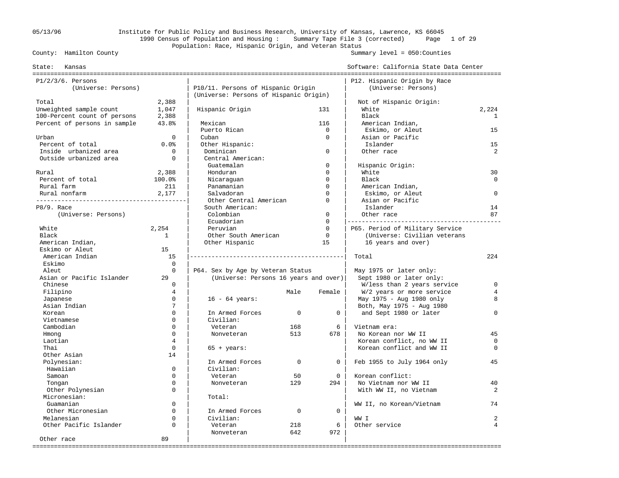## 05/13/96 Institute for Public Policy and Business Research, University of Kansas, Lawrence, KS 66045 1990 Census of Population and Housing : Summary Tape File 3 (corrected) Page 1 of 29 Population: Race, Hispanic Origin, and Veteran Status<br>County: Hamilton County

| Kansas<br>State:             |                |                                        |             |              | Software: California State Data Center |                |
|------------------------------|----------------|----------------------------------------|-------------|--------------|----------------------------------------|----------------|
| $P1/2/3/6$ . Persons         |                |                                        |             |              | P12. Hispanic Origin by Race           |                |
| (Universe: Persons)          |                | P10/11. Persons of Hispanic Origin     |             |              | (Universe: Persons)                    |                |
|                              |                | (Universe: Persons of Hispanic Origin) |             |              |                                        |                |
| Total                        | 2,388          |                                        |             |              | Not of Hispanic Origin:                |                |
| Unweighted sample count      | 1,047          | Hispanic Origin                        |             | 131          | White                                  | 2,224          |
| 100-Percent count of persons | 2,388          |                                        |             |              | Black                                  | $\mathbf{1}$   |
| Percent of persons in sample | 43.8%          | Mexican                                |             | 116          | American Indian,                       |                |
|                              |                | Puerto Rican                           |             | $\mathbf 0$  | Eskimo, or Aleut                       | 15             |
| Urban                        | $\Omega$       | Cuban                                  |             | $\Omega$     | Asian or Pacific                       |                |
| Percent of total             | 0.0%           | Other Hispanic:                        |             |              | Islander                               | 15             |
| Inside urbanized area        | $\mathbf 0$    | Dominican                              |             | $\mathbf 0$  | Other race                             | $\overline{2}$ |
| Outside urbanized area       | $\Omega$       | Central American:                      |             |              |                                        |                |
|                              |                | Guatemalan                             |             | $\mathbf 0$  | Hispanic Origin:                       |                |
| Rural                        | 2,388          | Honduran                               |             | $\Omega$     | White                                  | 30             |
| Percent of total             | 100.0%         | Nicaraguan                             |             | $\Omega$     | Black                                  | $\Omega$       |
| Rural farm                   | 211            | Panamanian                             |             | $\Omega$     | American Indian,                       |                |
| Rural nonfarm                | 2,177          | Salvadoran                             |             | $\Omega$     | Eskimo, or Aleut                       | $\Omega$       |
|                              |                | Other Central American                 |             | $\Omega$     | Asian or Pacific                       |                |
| P8/9. Race                   |                | South American:                        |             |              | Islander                               | 14             |
| (Universe: Persons)          |                | Colombian                              |             | $\mathbf 0$  | Other race                             | 87             |
|                              |                | Ecuadorian                             |             | $\Omega$     |                                        |                |
| White                        | 2,254          | Peruvian                               |             | $\Omega$     | P65. Period of Military Service        |                |
| Black                        | $\mathbf{1}$   | Other South American                   |             | $\mathbf 0$  | (Universe: Civilian veterans           |                |
| American Indian,             |                | Other Hispanic                         |             | 15           | 16 years and over)                     |                |
| Eskimo or Aleut              | 15             |                                        |             |              |                                        |                |
| American Indian              | 15             |                                        |             |              | Total                                  | 2.2.4          |
| Eskimo                       | $\Omega$       |                                        |             |              |                                        |                |
| Aleut                        | $\Omega$       | P64. Sex by Age by Veteran Status      |             |              | May 1975 or later only:                |                |
| Asian or Pacific Islander    | 29             | (Universe: Persons 16 years and over)  |             |              | Sept 1980 or later only:               |                |
| Chinese                      | $\Omega$       |                                        |             |              | W/less than 2 years service            | $\mathbf 0$    |
| Filipino                     | $\overline{4}$ |                                        | Male        | Female       | W/2 years or more service              | 4              |
| Japanese                     | $\mathbf 0$    | $16 - 64 \text{ years}$ :              |             |              | May 1975 - Aug 1980 only               | 8              |
| Asian Indian                 | 7              |                                        |             |              | Both, May 1975 - Aug 1980              |                |
| Korean                       | $\Omega$       | In Armed Forces                        | $\mathbf 0$ | 0            | and Sept 1980 or later                 | $\Omega$       |
| Vietnamese                   | $\Omega$       | Civilian:                              |             |              |                                        |                |
| Cambodian                    | $\Omega$       | Veteran                                | 168         | 6            | Vietnam era:                           |                |
| Hmong                        | $\Omega$       | Nonveteran                             | 513         | 678          | No Korean nor WW II                    | 45             |
| Laotian                      | $\overline{4}$ |                                        |             |              | Korean conflict, no WW II              | $\mathbf 0$    |
| Thai                         | $\Omega$       | $65 + \text{years}$ :                  |             |              | Korean conflict and WW II              | $\Omega$       |
| Other Asian                  | 14             |                                        |             |              |                                        |                |
| Polynesian:                  |                | In Armed Forces                        | $\Omega$    | $\Omega$     | Feb 1955 to July 1964 only             | 45             |
| Hawaiian                     | $\Omega$       | Civilian:                              |             |              |                                        |                |
| Samoan                       | $\Omega$       | Veteran                                | 50          | $\mathbf{0}$ | Korean conflict:                       |                |
| Tongan                       | $\mathbf 0$    | Nonveteran                             | 129         | 294          | No Vietnam nor WW II                   | 40             |
| Other Polynesian             | $\Omega$       |                                        |             |              | With WW II, no Vietnam                 | 2              |
| Micronesian:                 |                | Total:                                 |             |              |                                        |                |
| Guamanian                    | $\Omega$       |                                        |             |              | WW II, no Korean/Vietnam               | 74             |
| Other Micronesian            | $\Omega$       | In Armed Forces                        | $\mathbf 0$ | 0            |                                        |                |
| Melanesian                   | $\Omega$       | Civilian:                              |             |              | WW I                                   | 2              |
| Other Pacific Islander       | $\Omega$       | Veteran                                | 218         | 6            | Other service                          | $\overline{4}$ |
|                              |                | Nonveteran                             | 642         | 972          |                                        |                |
| Other race                   | 89             |                                        |             |              |                                        |                |
|                              |                |                                        |             |              |                                        |                |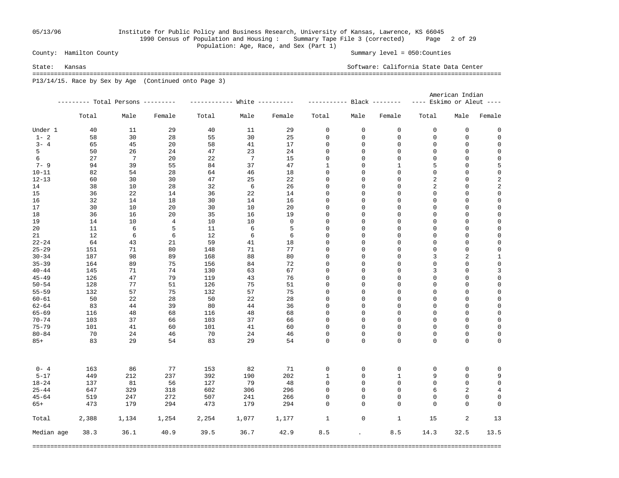## 05/13/96 Institute for Public Policy and Business Research, University of Kansas, Lawrence, KS 66045 1990 Census of Population and Housing : Summary Tape File 3 (corrected) Page 2 of 29 Population: Age, Race, and Sex (Part 1)<br>County: Hamilton County

Summary level =  $050$ : Counties

State: Kansas Software: California State Data Center =================================================================================================================================== P13/14/15. Race by Sex by Age (Continued onto Page 3)

|            |                                   |       |        |                               |       |        |                           |                      |              | American Indian           |      |             |
|------------|-----------------------------------|-------|--------|-------------------------------|-------|--------|---------------------------|----------------------|--------------|---------------------------|------|-------------|
|            | --------- Total Persons --------- |       |        | ------------ White ---------- |       |        | ---------- Black -------- |                      |              | ---- Eskimo or Aleut ---- |      |             |
|            | Total                             | Male  | Female | Total                         | Male  | Female | Total                     | Male                 | Female       | Total                     | Male | Female      |
| Under 1    | 40                                | 11    | 29     | 40                            | 11    | 29     | $\mathbf 0$               | 0                    | 0            | $\mathbf 0$               | 0    | 0           |
| $1 - 2$    | 58                                | 30    | 28     | 55                            | 30    | 25     | 0                         | 0                    | 0            | 0                         | 0    | $\mathsf 0$ |
| $3 - 4$    | 65                                | 45    | 20     | 58                            | 41    | 17     | 0                         | 0                    | 0            | $\mathbf 0$               | 0    | 0           |
| 5          | 50                                | 26    | 24     | 47                            | 23    | 24     | 0                         | 0                    | 0            | $\mathbf 0$               | 0    | 0           |
| 6          | 27                                | 7     | 20     | 22                            | 7     | 15     | 0                         | 0                    | 0            | $\mathbf 0$               | 0    | $\mathsf 0$ |
| $7 - 9$    | 94                                | 39    | 55     | 84                            | 37    | 47     | 1                         | 0                    | 1            | 5                         | 0    | 5           |
| $10 - 11$  | 82                                | 54    | 28     | 64                            | 46    | 18     | 0                         | 0                    | 0            | $\mathbf 0$               | 0    | $\mathbf 0$ |
| $12 - 13$  | 60                                | 30    | 30     | 47                            | 25    | 22     | 0                         | 0                    | 0            | 2                         | 0    | 2           |
| 14         | 38                                | 10    | 28     | 32                            | 6     | 26     | 0                         | 0                    | 0            | 2                         | 0    | $\sqrt{2}$  |
| 15         | 36                                | 22    | 14     | 36                            | 22    | 14     | 0                         | 0                    | 0            | $\mathbf 0$               | 0    | 0           |
| 16         | 32                                | 14    | 18     | 30                            | 14    | 16     | 0                         | 0                    | 0            | $\mathbf 0$               | 0    | $\mathsf 0$ |
| 17         | 30                                | 10    | 20     | 30                            | 10    | 20     | 0                         | 0                    | 0            | $\mathbf 0$               | 0    | 0           |
| 18         | 36                                | 16    | 20     | 35                            | 16    | 19     | 0                         | 0                    | 0            | $\mathbf 0$               | 0    | $\mathsf 0$ |
| 19         | 14                                | 10    | 4      | 10                            | 10    | 0      | 0                         | 0                    | 0            | $\mathbf 0$               | 0    | 0           |
| 20         | 11                                | 6     | 5      | 11                            | 6     | 5      | 0                         | 0                    | 0            | $\mathbf 0$               | 0    | $\mathsf 0$ |
| 21         | 12                                | 6     | 6      | 12                            | 6     | 6      | 0                         | 0                    | 0            | $\mathbf 0$               | 0    | 0           |
| $22 - 24$  | 64                                | 43    | 21     | 59                            | 41    | 18     | 0                         | 0                    | 0            | $\mathbf 0$               | 0    | $\mathsf 0$ |
| $25 - 29$  | 151                               | 71    | 80     | 148                           | 71    | 77     | 0                         | 0                    | 0            | $\mathbf 0$               | 0    | 0           |
| $30 - 34$  | 187                               | 98    | 89     | 168                           | 88    | 80     | 0                         | 0                    | 0            | 3                         | 2    | 1           |
| $35 - 39$  | 164                               | 89    | 75     | 156                           | 84    | 72     | 0                         | 0                    | 0            | $\mathbf 0$               | 0    | $\mathsf 0$ |
| $40 - 44$  | 145                               | 71    | 74     | 130                           | 63    | 67     | 0                         | 0                    | 0            | 3                         | 0    | 3           |
| $45 - 49$  | 126                               | 47    | 79     | 119                           | 43    | 76     | 0                         | 0                    | 0            | $\mathbf 0$               | 0    | 0           |
| $50 - 54$  | 128                               | 77    | 51     | 126                           | 75    | 51     | 0                         | 0                    | 0            | $\mathbf 0$               | 0    | $\mathsf 0$ |
| $55 - 59$  | 132                               | 57    | 75     | 132                           | 57    | 75     | 0                         | 0                    | 0            | $\mathbf 0$               | 0    | 0           |
| $60 - 61$  | 50                                | 22    | 28     | 50                            | 22    | 28     | 0                         | 0                    | 0            | $\mathbf 0$               | 0    | $\mathsf 0$ |
| $62 - 64$  | 83                                | 44    | 39     | 80                            | 44    | 36     | 0                         | 0                    | 0            | $\mathbf 0$               | 0    | 0           |
| $65 - 69$  | 116                               | 48    | 68     | 116                           | 48    | 68     | 0                         | 0                    | 0            | $\mathbf 0$               | 0    | 0           |
| $70 - 74$  | 103                               | 37    | 66     | 103                           | 37    | 66     | 0                         | 0                    | 0            | $\mathbf 0$               | 0    | 0           |
| $75 - 79$  | 101                               | 41    | 60     | 101                           | 41    | 60     | 0                         | 0                    | 0            | $\mathbf 0$               | 0    | $\mathbf 0$ |
| $80 - 84$  | 70                                | 24    | 46     | 70                            | 24    | 46     | 0                         | 0                    | 0            | 0                         | 0    | 0           |
| $85+$      | 83                                | 29    | 54     | 83                            | 29    | 54     | 0                         | 0                    | $\mathbf 0$  | 0                         | 0    | 0           |
|            |                                   |       |        |                               |       |        |                           |                      |              |                           |      |             |
| $0 - 4$    | 163                               | 86    | 77     | 153                           | 82    | 71     | 0                         | 0                    | 0            | 0                         | 0    | 0           |
| $5 - 17$   | 449                               | 212   | 237    | 392                           | 190   | 202    | 1                         | 0                    | $\mathbf{1}$ | 9                         | 0    | 9           |
| $18 - 24$  | 137                               | 81    | 56     | 127                           | 79    | 48     | 0                         | 0                    | 0            | $\mathbf 0$               | 0    | $\mathsf 0$ |
| $25 - 44$  | 647                               | 329   | 318    | 602                           | 306   | 296    | 0                         | 0                    | $\mathbf 0$  | 6                         | 2    | 4           |
| $45 - 64$  | 519                               | 247   | 272    | 507                           | 241   | 266    | 0                         | 0                    | 0            | 0                         | 0    | 0           |
| $65+$      | 473                               | 179   | 294    | 473                           | 179   | 294    | 0                         | $\mathbf 0$          | $\mathbf 0$  | $\Omega$                  | 0    | 0           |
| Total      | 2,388                             | 1,134 | 1,254  | 2,254                         | 1,077 | 1,177  | $\mathbf{1}$              | $\mathsf{O}\xspace$  | $\mathbf{1}$ | 15                        | 2    | 13          |
| Median age | 38.3                              | 36.1  | 40.9   | 39.5                          | 36.7  | 42.9   | 8.5                       | $\ddot{\phantom{a}}$ | 8.5          | 14.3                      | 32.5 | 13.5        |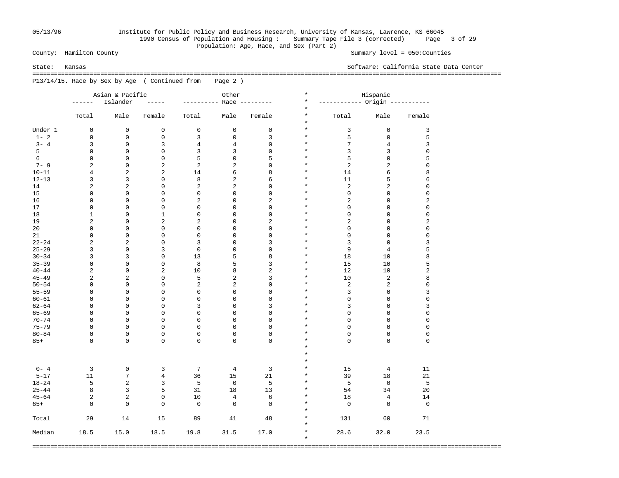## 05/13/96 Institute for Public Policy and Business Research, University of Kansas, Lawrence, KS 66045 1990 Census of Population and Housing : Summary Tape File 3 (corrected) Page 3 of 29 Population: Age, Race, and Sex (Part 2)<br>County: Hamilton County

Summary level =  $050$ : Counties

State: Kansas Software: California State Data Center

 =================================================================================================================================== P13/14/15. Race by Sex by Age ( Continued from Page 2 )

|           | Asian & Pacific |                     |                |                         | Other          |                  |          |                               | Hispanic       |                     |
|-----------|-----------------|---------------------|----------------|-------------------------|----------------|------------------|----------|-------------------------------|----------------|---------------------|
|           | ------          | Islander            | $- - - - -$    | ----------              |                | Race ---------   | $^\star$ | ----------- Origin ---------- |                |                     |
|           |                 | Male                |                |                         |                |                  | $^\star$ | Total                         |                |                     |
|           | Total           |                     | Female         | Total                   | Male           | Female           | $\star$  |                               | Male           | Female              |
| Under 1   | 0               | $\mathbf 0$         | $\mathbf 0$    | 0                       | $\mathbf 0$    | $\mathbf 0$      | $\star$  | 3                             | $\mathbf 0$    | 3                   |
| $1 - 2$   | $\mathbf 0$     | $\mathsf 0$         | $\mathsf 0$    | 3                       | $\mathsf 0$    | 3                | $\star$  | 5                             | $\mathbf 0$    | 5                   |
| $3 - 4$   | 3               | $\mathsf 0$         | 3              | 4                       | $\overline{4}$ | 0                | $\star$  | 7                             | 4              | 3                   |
| 5         | $\mathsf 0$     | $\mathsf 0$         | 0              | 3                       | 3              | 0                | $\star$  | 3                             | 3              | $\mathsf 0$         |
| 6         | $\mathbf 0$     | $\mathsf 0$         | 0              | 5                       | $\mathsf 0$    | 5                | $\star$  | 5                             | $\mathbf 0$    | 5                   |
| $7 - 9$   | 2               | $\mathsf 0$         | $\overline{c}$ | $\overline{a}$          | $\overline{2}$ | 0                | $\star$  | $\overline{a}$                | $\overline{c}$ | $\mathsf 0$         |
| $10 - 11$ | 4               | $\overline{2}$      | $\overline{c}$ | 14                      | 6              | 8                | $\star$  | 14                            | 6              | 8                   |
| $12 - 13$ | 3               | 3                   | 0              | 8                       | $\overline{2}$ | 6                | $\star$  | 11                            | 5              | 6                   |
| 14        | $\overline{2}$  | $\overline{2}$      | 0              | $\overline{2}$          | $\overline{2}$ | 0                | $\star$  | $\overline{a}$                | $\overline{c}$ | $\mathbf{0}$        |
| 15        | $\mathbf 0$     | $\mathbf 0$         | 0              | $\mathsf 0$             | $\mathbf 0$    | 0                | $\star$  | 0                             | $\mathbf 0$    | $\mathsf 0$         |
| 16        | $\mathbf 0$     | $\mathbf 0$         | $\mathbf 0$    | $\overline{2}$          | $\mathbf 0$    | $\overline{c}$   | $\star$  | $\overline{a}$                | $\mathbf 0$    | $\overline{2}$      |
| 17        | $\mathsf 0$     | $\mathsf{O}\xspace$ | $\mathsf 0$    | $\mathsf 0$             | $\mathsf 0$    | 0                | $\star$  | 0                             | $\mathsf 0$    | $\mathsf{O}\xspace$ |
|           |                 |                     |                |                         |                |                  | $^\ast$  |                               |                |                     |
| 18        | $\mathbf{1}$    | $\mathsf 0$         | $\mathbf{1}$   | 0                       | $\mathsf 0$    | 0                |          | 0                             | 0              | 0                   |
| 19        | 2               | $\mathsf 0$         | 2              | 2                       | $\mathsf 0$    | 2                | $^\star$ | 2                             | $\mathbf 0$    | $\sqrt{2}$          |
| 20        | $\mathsf 0$     | $\mathsf 0$         | 0              | 0                       | $\mathsf 0$    | 0                | $^\ast$  | 0                             | 0              | 0                   |
| 21        | $\mathsf 0$     | $\mathsf 0$         | 0              | 0                       | $\mathsf 0$    | 0                | $\star$  | 0                             | $\mathsf 0$    | $\mathsf 0$         |
| $22 - 24$ | 2               | $\sqrt{2}$          | 0              | 3                       | $\mathsf 0$    | 3                | $\star$  | 3                             | $\mathsf 0$    | 3                   |
| $25 - 29$ | 3               | $\mathsf 0$         | 3              | $\mathbf 0$             | $\mathsf 0$    | 0                | $^\star$ | 9                             | $\,4$          | 5                   |
| $30 - 34$ | 3               | $\mathbf{3}$        | 0              | 13                      | 5              | 8                | $^\star$ | 18                            | 10             | 8                   |
| $35 - 39$ | $\mathbf 0$     | $\mathsf 0$         | 0              | 8                       | 5              | 3                | $^\star$ | 15                            | 10             | 5                   |
| $40 - 44$ | 2               | $\mathsf 0$         | $\overline{2}$ | 10                      | 8              | $\boldsymbol{2}$ | $\star$  | 12                            | 10             | $\sqrt{2}$          |
| $45 - 49$ | 2               | $\overline{2}$      | $\mathsf 0$    | 5                       | $\overline{2}$ | 3                | $\star$  | 10                            | $\sqrt{2}$     | 8                   |
| $50 - 54$ | $\mathbf 0$     | $\mathbf 0$         | 0              | $\overline{\mathbf{c}}$ | $\overline{2}$ | 0                | $\star$  | $\overline{\mathbf{c}}$       | $\sqrt{2}$     | $\mathsf 0$         |
| $55 - 59$ | $\mathbf 0$     | $\mathsf 0$         | $\mathsf 0$    | 0                       | $\mathsf 0$    | 0                | $\star$  | 3                             | $\mathbf 0$    | 3                   |
| $60 - 61$ | $\mathbf 0$     | $\mathsf 0$         | $\mathsf 0$    | $\mathsf 0$             | $\mathsf 0$    | $\mathsf 0$      | $\star$  | 0                             | $\mathbf 0$    | $\mathsf 0$         |
| $62 - 64$ | $\mathsf 0$     | $\mathbf 0$         | $\mathbf 0$    | 3                       | $\mathsf 0$    | 3                | $\star$  | 3                             | $\mathbf 0$    | 3                   |
| $65 - 69$ | $\mathbf 0$     | $\mathbf 0$         | $\mathbf 0$    | $\mathbf 0$             | $\mathsf 0$    | 0                | $\star$  | 0                             | $\mathbf 0$    | $\mathsf 0$         |
| $70 - 74$ | $\mathbf 0$     | $\mathbf 0$         | $\mathbf 0$    | $\mathbf 0$             | $\mathbf 0$    | 0                | $\star$  | $\mathbf 0$                   | $\mathbf 0$    | $\mathbf 0$         |
| $75 - 79$ | $\mathsf 0$     | $\mathsf 0$         | $\mathsf 0$    | $\mathsf 0$             | $\mathsf 0$    | 0                | $\star$  | $\mathsf 0$                   | $\mathbf 0$    | $\mathsf 0$         |
| $80 - 84$ | 0               | $\mathsf 0$         | 0              | 0                       | $\mathsf 0$    | 0                | $\star$  | 0                             | $\mathbf 0$    | $\mathsf 0$         |
| $85+$     | $\mathbf 0$     | $\mathbf 0$         | $\mathbf 0$    | $\mathbf 0$             | $\mathsf 0$    | $\mathbf 0$      | $\star$  | $\mathbf 0$                   | $\mathbf 0$    | $\mathsf 0$         |
|           |                 |                     |                |                         |                |                  | $\star$  |                               |                |                     |
|           |                 |                     |                |                         |                |                  | $\star$  |                               |                |                     |
|           |                 |                     |                |                         |                |                  | $\star$  |                               |                |                     |
|           |                 |                     |                |                         |                |                  | $\star$  |                               |                |                     |
| $0 - 4$   | 3               | $\mathsf 0$         | 3              | 7                       | $\overline{4}$ | 3                |          | 15                            | $\overline{4}$ | 11                  |
| $5 - 17$  | 11              | 7                   | $\overline{4}$ | 36                      | 15             | 21               | $\star$  | 39                            | 18             | 21                  |
| $18 - 24$ | 5               | $\overline{2}$      | 3              | 5                       | $\mathsf 0$    | 5                | $\star$  | 5                             | $\mathbf 0$    | 5                   |
| $25 - 44$ | 8               | 3                   | 5              | 31                      | 18             | 13               | $\star$  | 54                            | 34             | 20                  |
| $45 - 64$ | 2               | $\overline{2}$      | $\mathsf 0$    | 10                      | $\,4$          | $\epsilon$       | $\star$  | 18                            | $\,4$          | 14                  |
| $65+$     | $\Omega$        | $\mathbf 0$         | $\mathbf 0$    | $\mathbf 0$             | $\mathbf 0$    | $\mathbf 0$      | $\star$  | $\mathbf 0$                   | $\mathbf 0$    | $\mathsf 0$         |
|           |                 |                     |                |                         |                |                  | $\star$  |                               |                |                     |
| Total     | 29              | 14                  | 15             | 89                      | 41             | 48               | $\star$  | 131                           | 60             | 71                  |
|           |                 |                     |                |                         |                |                  | $\star$  |                               |                |                     |
| Median    | 18.5            | 15.0                | 18.5           | 19.8                    | 31.5           | 17.0             | $\star$  | 28.6                          | 32.0           | 23.5                |
|           |                 |                     |                |                         |                |                  | $\star$  |                               |                |                     |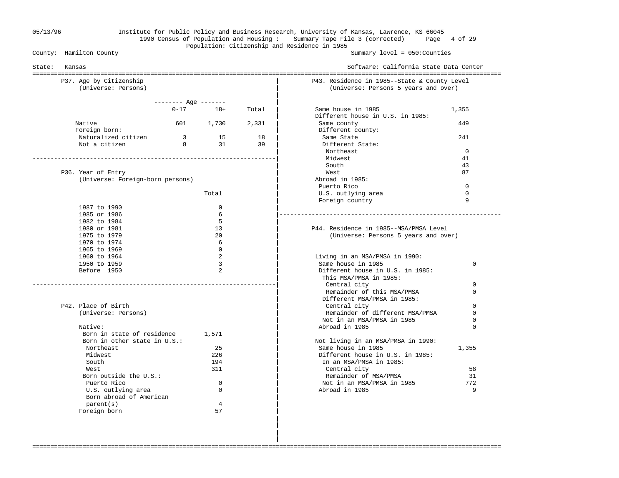#### 05/13/96 Institute for Public Policy and Business Research, University of Kansas, Lawrence, KS 66045 1990 Census of Population and Housing : Summary Tape File 3 (corrected) Page 4 of 29 Population: Citizenship and Residence in 1985<br>County: Hamilton County

Summary level =  $050$ : Counties

| State: | Kansas                                                     |                              |                |          | Software: California State Data Center                                               |             |  |  |  |
|--------|------------------------------------------------------------|------------------------------|----------------|----------|--------------------------------------------------------------------------------------|-------------|--|--|--|
|        | P37. Age by Citizenship<br>(Universe: Persons)             |                              |                |          | P43. Residence in 1985--State & County Level<br>(Universe: Persons 5 years and over) |             |  |  |  |
|        |                                                            | -------- Age -------         |                |          |                                                                                      |             |  |  |  |
|        |                                                            |                              | $0 - 17$ 18+   | Total    | Same house in 1985<br>Different house in U.S. in 1985:                               | 1,355       |  |  |  |
|        | Native<br>Foreign born:                                    |                              | 601 1,730      | 2,331    | Same county<br>Different county:                                                     | 449         |  |  |  |
|        | Naturalized citizen<br>Not a citizen                       | $\overline{\mathbf{3}}$<br>8 | 15<br>31       | 18<br>39 | Same State<br>Different State:                                                       | 241         |  |  |  |
|        |                                                            |                              |                |          | Northeast                                                                            | $\Omega$    |  |  |  |
|        |                                                            |                              |                |          | Midwest                                                                              | 41          |  |  |  |
|        |                                                            |                              |                |          | South                                                                                | 43          |  |  |  |
|        | P36. Year of Entry                                         |                              |                |          | West                                                                                 | 87          |  |  |  |
|        | (Universe: Foreign-born persons)                           |                              |                |          | Abroad in 1985:                                                                      |             |  |  |  |
|        |                                                            |                              |                |          | Puerto Rico                                                                          | $\Omega$    |  |  |  |
|        |                                                            |                              | Total          |          | U.S. outlying area                                                                   | $\mathbf 0$ |  |  |  |
|        |                                                            |                              |                |          | Foreign country                                                                      | 9           |  |  |  |
|        | 1987 to 1990                                               |                              | $\Omega$       |          |                                                                                      |             |  |  |  |
|        | 1985 or 1986                                               |                              | 6              |          |                                                                                      |             |  |  |  |
|        | 1982 to 1984                                               |                              | 5              |          |                                                                                      |             |  |  |  |
|        | 1980 or 1981                                               |                              | 13             |          | P44. Residence in 1985--MSA/PMSA Level                                               |             |  |  |  |
|        | 1975 to 1979                                               |                              | 20             |          | (Universe: Persons 5 years and over)                                                 |             |  |  |  |
|        | 1970 to 1974<br>1965 to 1969                               |                              | 6<br>$\Omega$  |          |                                                                                      |             |  |  |  |
|        | 1960 to 1964                                               |                              | 2              |          | Living in an MSA/PMSA in 1990:                                                       |             |  |  |  |
|        | 1950 to 1959                                               |                              | 3              |          | Same house in 1985                                                                   | 0           |  |  |  |
|        | Before 1950                                                |                              | $\overline{2}$ |          | Different house in U.S. in 1985:                                                     |             |  |  |  |
|        |                                                            |                              |                |          | This MSA/PMSA in 1985:                                                               |             |  |  |  |
|        |                                                            |                              |                |          | Central city                                                                         | $\Omega$    |  |  |  |
|        |                                                            |                              |                |          | Remainder of this MSA/PMSA<br>Different MSA/PMSA in 1985:                            | $\Omega$    |  |  |  |
|        | P42. Place of Birth                                        |                              |                |          | Central city                                                                         | $\mathbf 0$ |  |  |  |
|        | (Universe: Persons)                                        |                              |                |          | Remainder of different MSA/PMSA                                                      | $\Omega$    |  |  |  |
|        |                                                            |                              |                |          | Not in an MSA/PMSA in 1985                                                           | 0           |  |  |  |
|        | Native:                                                    |                              |                |          | Abroad in 1985                                                                       | $\Omega$    |  |  |  |
|        | Born in state of residence<br>Born in other state in U.S.: |                              | 1,571          |          |                                                                                      |             |  |  |  |
|        |                                                            |                              | 25             |          | Not living in an MSA/PMSA in 1990:<br>Same house in 1985                             |             |  |  |  |
|        | Northeast<br>Midwest                                       |                              | 226            |          | Different house in U.S. in 1985:                                                     | 1,355       |  |  |  |
|        | South                                                      |                              | 194            |          | In an MSA/PMSA in 1985:                                                              |             |  |  |  |
|        | West                                                       |                              | 311            |          | Central city                                                                         | 58          |  |  |  |
|        | Born outside the U.S.:                                     |                              |                |          | Remainder of MSA/PMSA                                                                | 31          |  |  |  |
|        | Puerto Rico                                                |                              | $\mathbf 0$    |          | Not in an MSA/PMSA in 1985                                                           | 772         |  |  |  |
|        | U.S. outlying area                                         |                              | $\Omega$       |          | Abroad in 1985                                                                       | 9           |  |  |  |
|        | Born abroad of American                                    |                              | 4              |          |                                                                                      |             |  |  |  |
|        | parent(s)                                                  |                              | 57             |          |                                                                                      |             |  |  |  |
|        | Foreign born                                               |                              |                |          |                                                                                      |             |  |  |  |

===================================================================================================================================

 | | |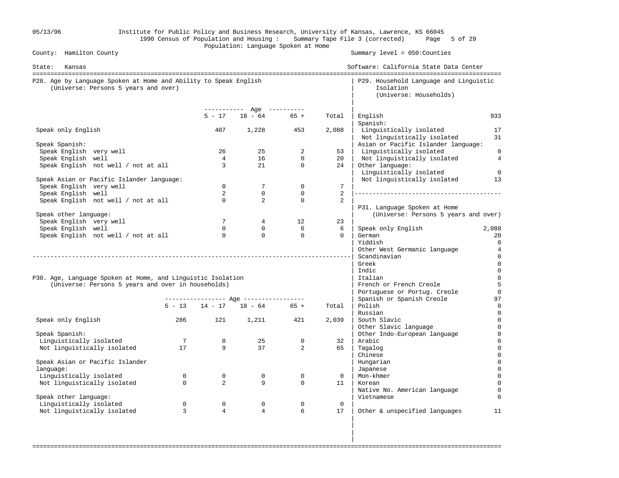| 05/13/96                                                                                                 |                 |                 | Population: Language Spoken at Home            |              |                 | Institute for Public Policy and Business Research, University of Kansas, Lawrence, KS 66045<br>1990 Census of Population and Housing: Summary Tape File 3 (corrected) Page 5 of 29 |                   |
|----------------------------------------------------------------------------------------------------------|-----------------|-----------------|------------------------------------------------|--------------|-----------------|------------------------------------------------------------------------------------------------------------------------------------------------------------------------------------|-------------------|
| County: Hamilton County                                                                                  |                 |                 |                                                |              |                 | Summary $level = 050$ : Counties                                                                                                                                                   |                   |
| State: Kansas                                                                                            |                 |                 |                                                |              |                 | Software: California State Data Center                                                                                                                                             |                   |
| P28. Age by Language Spoken at Home and Ability to Speak English<br>(Universe: Persons 5 years and over) |                 |                 |                                                |              |                 | P29. Household Language and Linguistic<br>Isolation<br>(Universe: Households)                                                                                                      |                   |
|                                                                                                          |                 |                 | ----------- Age ----------<br>$5 - 17$ 18 - 64 | $65 +$       | Total           | English                                                                                                                                                                            | 933               |
| Speak only English                                                                                       |                 | 407             | 1,228 453                                      |              | 2,088           | Spanish:<br>Linguistically isolated<br>Not linguistically isolated                                                                                                                 | 17<br>31          |
| Speak Spanish:                                                                                           |                 |                 |                                                |              |                 | Asian or Pacific Islander language:                                                                                                                                                |                   |
| Speak English very well                                                                                  |                 | 26              | 25                                             | 2            | 53              | Linguistically isolated                                                                                                                                                            | $\overline{0}$    |
| Speak English well                                                                                       |                 | $\overline{4}$  | 16                                             | $\Omega$     | 20              | Not linguistically isolated                                                                                                                                                        | $\overline{4}$    |
| Speak English not well / not at all                                                                      |                 | $\overline{3}$  | 21                                             | $\mathbf{0}$ | 24              | Other language:<br>Linguistically isolated                                                                                                                                         | $\overline{0}$    |
| Speak Asian or Pacific Islander language:<br>Speak English very well                                     |                 | $\Omega$        | $7\phantom{.0}$                                | $\mathbf 0$  | $7\overline{ }$ | Not linguistically isolated                                                                                                                                                        | 13                |
| Speak English well                                                                                       |                 | $\overline{2}$  | $\mathbf{0}$                                   | $\mathbf{0}$ | 2               |                                                                                                                                                                                    |                   |
| Speak English not well / not at all                                                                      |                 | $\Omega$        | 2                                              | $\Omega$     | $\overline{a}$  |                                                                                                                                                                                    |                   |
|                                                                                                          |                 |                 |                                                |              |                 | P31. Language Spoken at Home                                                                                                                                                       |                   |
| Speak other language:                                                                                    |                 |                 |                                                |              |                 | (Universe: Persons 5 years and over)                                                                                                                                               |                   |
| Speak English very well                                                                                  |                 | $7\overline{ }$ | $4\overline{ }$                                | 12           | 23              |                                                                                                                                                                                    |                   |
| Speak English well                                                                                       |                 | $\Omega$        | $\overline{0}$                                 | 6            | 6               | Speak only English                                                                                                                                                                 | 2,088             |
| Speak English not well / not at all                                                                      |                 | $\Omega$        | $\Omega$                                       | $\mathbf{0}$ | $\Omega$        | German<br>Yiddish                                                                                                                                                                  | 20<br>$\mathbf 0$ |
|                                                                                                          |                 |                 |                                                |              |                 | Other West Germanic language                                                                                                                                                       | $\overline{4}$    |
|                                                                                                          |                 |                 |                                                |              |                 | Scandinavian                                                                                                                                                                       | $\mathbf 0$       |
|                                                                                                          |                 |                 |                                                |              |                 | Greek                                                                                                                                                                              | $\mathbf 0$       |
|                                                                                                          |                 |                 |                                                |              |                 | Indic                                                                                                                                                                              | $\mathbf 0$       |
| P30. Age, Language Spoken at Home, and Linguistic Isolation                                              |                 |                 |                                                |              |                 | Italian                                                                                                                                                                            | $\overline{0}$    |
| (Universe: Persons 5 years and over in households)                                                       |                 |                 |                                                |              |                 | French or French Creole                                                                                                                                                            | 5                 |
|                                                                                                          |                 |                 |                                                |              |                 | Portuguese or Portug. Creole                                                                                                                                                       | $\mathbf 0$       |
|                                                                                                          |                 |                 | $5 - 13$ $14 - 17$ $18 - 64$ $65 +$            |              | Total           | Spanish or Spanish Creole<br>Polish                                                                                                                                                | 97                |
|                                                                                                          |                 |                 |                                                |              |                 | Russian                                                                                                                                                                            | 0                 |
| Speak only English                                                                                       | 286             | 121             | 1,211                                          | 421          | 2,039           | South Slavic                                                                                                                                                                       | 0                 |
|                                                                                                          |                 |                 |                                                |              |                 | Other Slavic language                                                                                                                                                              | $\mathbf 0$       |
| Speak Spanish:                                                                                           |                 |                 |                                                |              |                 | Other Indo-European language                                                                                                                                                       | 0                 |
| Linguistically isolated                                                                                  | $7\overline{ }$ | $\overline{0}$  | 25                                             | $\mathsf{O}$ | 32              | Arabic                                                                                                                                                                             |                   |
| Not linguistically isolated                                                                              | 17              | 9               | 37                                             | 2            | 65              | Tagalog                                                                                                                                                                            | $\Omega$          |
|                                                                                                          |                 |                 |                                                |              |                 | Chinese                                                                                                                                                                            |                   |
| Speak Asian or Pacific Islander<br>language:                                                             |                 |                 |                                                |              |                 | Hungarian<br>Japanese                                                                                                                                                              |                   |
| Linguistically isolated                                                                                  | $\mathbf{0}$    | $\overline{0}$  | $\overline{0}$                                 | $\mathbf 0$  | $\overline{0}$  | Mon-khmer                                                                                                                                                                          |                   |
| Not linguistically isolated                                                                              | $\Omega$        | 2               | 9                                              | $\mathbf 0$  | 11              | Korean                                                                                                                                                                             |                   |
|                                                                                                          |                 |                 |                                                |              |                 | Native No. American language                                                                                                                                                       | $\mathbf 0$       |
| Speak other language:                                                                                    |                 |                 |                                                |              |                 | Vietnamese                                                                                                                                                                         |                   |
| Linguistically isolated                                                                                  | $\mathbf 0$     | $\mathbf 0$     | $\mathbf 0$                                    | $\mathbf 0$  | $\mathsf{O}$    |                                                                                                                                                                                    |                   |
| Not linguistically isolated                                                                              | 3               | $\overline{4}$  | 4                                              | 6            | 17              | Other & unspecified languages                                                                                                                                                      | 11                |
|                                                                                                          |                 |                 |                                                |              |                 |                                                                                                                                                                                    |                   |

===================================================================================================================================

in the contract of the contract of the contract of the contract of the contract of the contract of the contract in the contract of the contract of the contract of the contract of the contract of the contract of the contract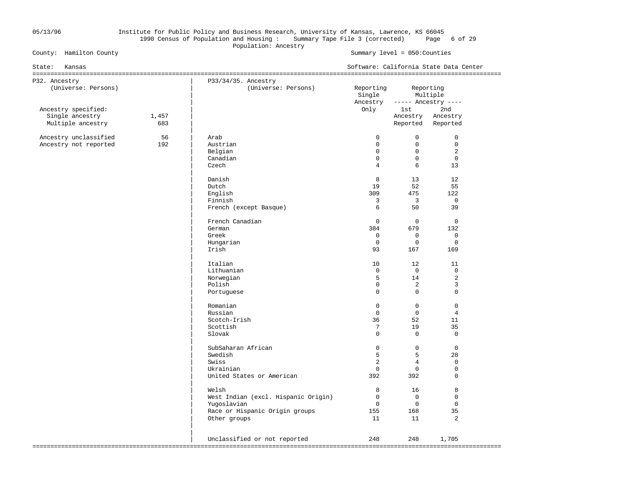#### 05/13/96 Institute for Public Policy and Business Research, University of Kansas, Lawrence, KS 66045 1990 Census of Population and Housing : Summary Tape File 3 (corrected) Page 6 of 29 Population: Ancestry<br>
County: Hamilton County<br>
Population: Ancestry

| State:<br>Kansas                     |              | Software: California State Data Center     |                                 |                      |                                  |  |
|--------------------------------------|--------------|--------------------------------------------|---------------------------------|----------------------|----------------------------------|--|
| P32. Ancestry<br>(Universe: Persons) |              | P33/34/35. Ancestry<br>(Universe: Persons) | Reporting<br>Single<br>Ancestry | Reporting            | Multiple<br>$---$ Ancestry $---$ |  |
| Ancestry specified:                  |              |                                            | Only                            | lst                  | 2nd                              |  |
| Single ancestry<br>Multiple ancestry | 1,457<br>683 |                                            |                                 | Ancestry<br>Reported | Ancestry<br>Reported             |  |
|                                      |              |                                            |                                 |                      |                                  |  |
| Ancestry unclassified                | 56           | Arab                                       | $\Omega$                        | $\Omega$             | $\mathbf 0$                      |  |
| Ancestry not reported                | 192          | Austrian                                   | $\mathbf 0$                     | $\mathbf 0$          | $\mathbf 0$                      |  |
|                                      |              | Belgian                                    | $\mathbf 0$                     | $\mathbf 0$          | 2                                |  |
|                                      |              | Canadian                                   | $\Omega$                        | $\Omega$             | $\mathbf 0$                      |  |
|                                      |              | Czech                                      | $\overline{4}$                  | 6                    | 13                               |  |
|                                      |              |                                            |                                 |                      |                                  |  |
|                                      |              | Danish                                     | 8                               | 13                   | 12                               |  |
|                                      |              | Dutch                                      | 19                              | 52                   | 55                               |  |
|                                      |              | English                                    | 309                             | 475                  | 122                              |  |
|                                      |              | Finnish                                    | 3                               | $\overline{3}$       | $\mathbf 0$                      |  |
|                                      |              | French (except Basque)                     | 6                               | 50                   | 39                               |  |
|                                      |              | French Canadian                            | $\mathbf 0$                     | $\mathbf 0$          | $\overline{0}$                   |  |
|                                      |              | German                                     | 384                             | 679                  | 132                              |  |
|                                      |              | Greek                                      | $\mathbf 0$                     | $\mathbf 0$          | $\mathbf 0$                      |  |
|                                      |              | Hungarian                                  | $\mathbf 0$                     | $\mathbf 0$          | $\mathbf 0$                      |  |
|                                      |              | Irish                                      | 93                              | 167                  | 169                              |  |
|                                      |              | Italian                                    | 10                              | 12                   | 11                               |  |
|                                      |              | Lithuanian                                 | $\mathbf 0$                     | $\overline{0}$       | $\mathbf 0$                      |  |
|                                      |              | Norwegian                                  | 5                               | 14                   | $\overline{2}$                   |  |
|                                      |              | Polish                                     | $\Omega$                        | 2                    | $\overline{3}$                   |  |
|                                      |              | Portuguese                                 | $\Omega$                        | $\Omega$             | $\mathbf 0$                      |  |
|                                      |              | Romanian                                   | $\Omega$                        | $\Omega$             | $\Omega$                         |  |
|                                      |              | Russian                                    | $\Omega$                        | $\mathsf{O}$         | $\overline{4}$                   |  |
|                                      |              | Scotch-Irish                               | 36                              | 52                   | 11                               |  |
|                                      |              | Scottish                                   | 7                               | 19                   | 35                               |  |
|                                      |              | Slovak                                     | $\Omega$                        | $\Omega$             | $\overline{0}$                   |  |
|                                      |              | SubSaharan African                         | $\mathbf 0$                     | $\mathbf 0$          | $\mathbf{0}$                     |  |
|                                      |              | Swedish                                    | 5                               | $5\overline{5}$      | 28                               |  |
|                                      |              | Swiss                                      | $\overline{2}$                  | $\overline{4}$       | $\mathbf 0$                      |  |
|                                      |              | Ukrainian                                  | $\overline{0}$                  | $\mathbf 0$          | $\mathsf 0$                      |  |
|                                      |              | United States or American                  | 392                             | 392                  | $\Omega$                         |  |
|                                      |              | Welsh                                      | 8                               | 16                   | 8                                |  |
|                                      |              | West Indian (excl. Hispanic Origin)        | $\overline{0}$                  | $\mathbf 0$          | $\mathbf 0$                      |  |
|                                      |              | Yugoslavian                                | $\overline{0}$                  | $\overline{0}$       | $\mathbf 0$                      |  |
|                                      |              | Race or Hispanic Origin groups             | 155                             | 168                  | 35                               |  |
|                                      |              | Other groups                               | 11                              | 11                   | $\overline{2}$                   |  |
|                                      |              |                                            |                                 |                      |                                  |  |
|                                      |              | Unclassified or not reported               | 248                             | 248                  | 1,705                            |  |
|                                      |              |                                            |                                 |                      |                                  |  |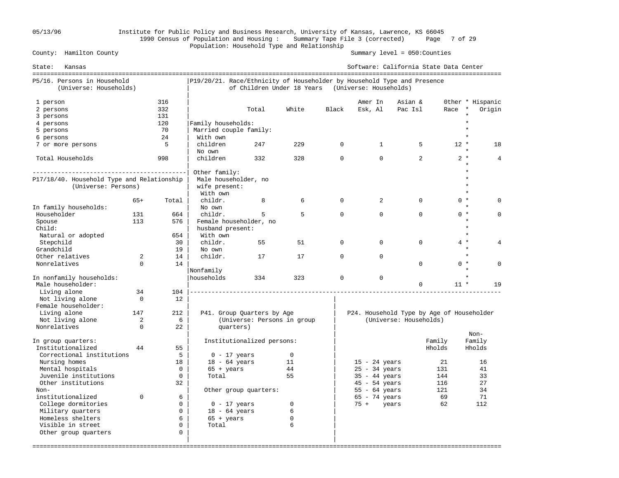## 05/13/96 Institute for Public Policy and Business Research, University of Kansas, Lawrence, KS 66045 1990 Census of Population and Housing : Summary Tape File 3 (corrected) Page 7 of 29 Population: Household Type and Relationship<br>County: Hamilton County

| State:<br>Kansas                                                  |                |             |                                                                         |                             |             |             | Software: California State Data Center    |                        |        |                            |
|-------------------------------------------------------------------|----------------|-------------|-------------------------------------------------------------------------|-----------------------------|-------------|-------------|-------------------------------------------|------------------------|--------|----------------------------|
| P5/16. Persons in Household<br>(Universe: Households)             |                |             | P19/20/21. Race/Ethnicity of Householder by Household Type and Presence | of Children Under 18 Years  |             |             | (Universe: Households)                    |                        |        |                            |
| 1 person<br>2 persons                                             |                | 316<br>332  |                                                                         | Total                       | White       | Black       | Amer In<br>Esk, Al                        | Asian &<br>Pac Isl     | Race   | Other * Hispanic<br>Origin |
| 3 persons                                                         |                | 131<br>120  | Family households:                                                      |                             |             |             |                                           |                        |        |                            |
| 4 persons<br>5 persons                                            |                | 70          | Married couple family:                                                  |                             |             |             |                                           |                        |        |                            |
| 6 persons                                                         |                | 2.4         | With own                                                                |                             |             |             |                                           |                        |        |                            |
| 7 or more persons                                                 |                | 5           | children                                                                | 247                         | 229         | $\Omega$    | $\mathbf{1}$                              | 5                      | $12 *$ | 18                         |
|                                                                   |                |             | No own                                                                  |                             |             |             |                                           |                        |        |                            |
| Total Households                                                  |                | 998         | children                                                                | 332                         | 328         | $\Omega$    | $\Omega$                                  | $\overline{2}$         | $2 *$  | 4                          |
| --------------------------------                                  |                |             | Other family:                                                           |                             |             |             |                                           |                        |        |                            |
| P17/18/40. Household Type and Relationship<br>(Universe: Persons) |                |             | Male householder, no<br>wife present:                                   |                             |             |             |                                           |                        |        |                            |
|                                                                   |                |             | With own                                                                |                             |             |             |                                           |                        |        | $\star$                    |
|                                                                   | $65+$          | Total       | childr.                                                                 | 8                           | 6           | $\mathbf 0$ | 2                                         | $\mathbf 0$            | $0 *$  |                            |
| In family households:                                             |                |             | No own                                                                  |                             |             |             |                                           |                        |        | $\star$                    |
| Householder                                                       | 131            | 664         | childr.                                                                 | 5                           | 5           | $\Omega$    | $\Omega$                                  | $\Omega$               | $0 *$  | $\Omega$                   |
| Spouse                                                            | 113            | 576         | Female householder, no                                                  |                             |             |             |                                           |                        |        | $\star$                    |
| Child:                                                            |                |             | husband present:                                                        |                             |             |             |                                           |                        |        |                            |
| Natural or adopted                                                |                | 654         | With own                                                                |                             |             |             |                                           |                        |        | $\star$                    |
| Stepchild                                                         |                | 30          | childr.                                                                 | 55                          | 51          | $\Omega$    | $\Omega$                                  | $\Omega$               | $4 *$  |                            |
| Grandchild                                                        |                | 19          | No own                                                                  |                             |             |             |                                           |                        |        | $\star$                    |
| Other relatives                                                   | 2              | 14          | childr.                                                                 | 17                          | 17          | $\Omega$    | $\Omega$                                  |                        |        | $\star$                    |
| Nonrelatives                                                      | $\Omega$       | 14          |                                                                         |                             |             |             |                                           | $\Omega$               | $0 *$  | $\Omega$                   |
|                                                                   |                |             | Nonfamily                                                               |                             |             |             |                                           |                        |        | $\star$                    |
| In nonfamily households:<br>Male householder:                     |                |             | households                                                              | 334                         | 323         | $\mathbf 0$ | $\Omega$                                  | $\mathbf 0$            | $11 *$ | 19                         |
| Living alone                                                      | 34             | 104         |                                                                         |                             |             |             |                                           |                        |        |                            |
| Not living alone<br>Female householder:                           | $\Omega$       | 12          |                                                                         |                             |             |             |                                           |                        |        |                            |
| Living alone                                                      | 147            | 212         |                                                                         | P41. Group Quarters by Age  |             |             | P24. Household Type by Age of Householder |                        |        |                            |
| Not living alone                                                  | $\overline{a}$ | 6           |                                                                         | (Universe: Persons in group |             |             |                                           | (Universe: Households) |        |                            |
| Nonrelatives                                                      | $\Omega$       | 22          | quarters)                                                               |                             |             |             |                                           |                        |        | $Non-$                     |
| In group quarters:                                                |                |             |                                                                         | Institutionalized persons:  |             |             |                                           | Family                 |        | Family                     |
| Institutionalized                                                 | 44             | 55          |                                                                         |                             |             |             |                                           | Hholds                 |        | Hholds                     |
| Correctional institutions                                         |                | 5           | $0 - 17$ years                                                          |                             | $\mathbf 0$ |             |                                           |                        |        |                            |
| Nursing homes                                                     |                | 18          | $18 - 64$ years                                                         |                             | 11          |             | $15 - 24$ years                           |                        | 21     | 16                         |
| Mental hospitals                                                  |                | $\mathbf 0$ | $65 + \text{years}$                                                     |                             | 44          |             | $25 - 34$ years                           |                        | 131    | 41                         |
| Juvenile institutions                                             |                | 0           | Total                                                                   |                             | 55          |             | $35 - 44$ years                           |                        | 144    | 33                         |
| Other institutions                                                |                | 32          |                                                                         |                             |             |             | $45 - 54$ years                           |                        | 116    | 27                         |
| Non-                                                              |                |             |                                                                         | Other group quarters:       |             |             | $55 - 64 \text{ years}$                   |                        | 121    | 34                         |
| institutionalized                                                 | $\Omega$       | 6           |                                                                         |                             |             |             | $65 - 74$ years                           |                        | 69     | 71                         |
| College dormitories                                               |                | $\Omega$    | $0 - 17$ years                                                          |                             | 0           |             | $75 +$<br>years                           |                        | 62     | 112                        |
| Military quarters                                                 |                | $\Omega$    | $18 - 64$ years                                                         |                             | 6           |             |                                           |                        |        |                            |
| Homeless shelters                                                 |                | 6           | $65 + \text{years}$                                                     |                             | $\mathbf 0$ |             |                                           |                        |        |                            |
| Visible in street                                                 |                | 0           | Total                                                                   |                             | 6           |             |                                           |                        |        |                            |
| Other group quarters                                              |                | 0           |                                                                         |                             |             |             |                                           |                        |        |                            |
|                                                                   |                |             |                                                                         |                             |             |             |                                           |                        |        |                            |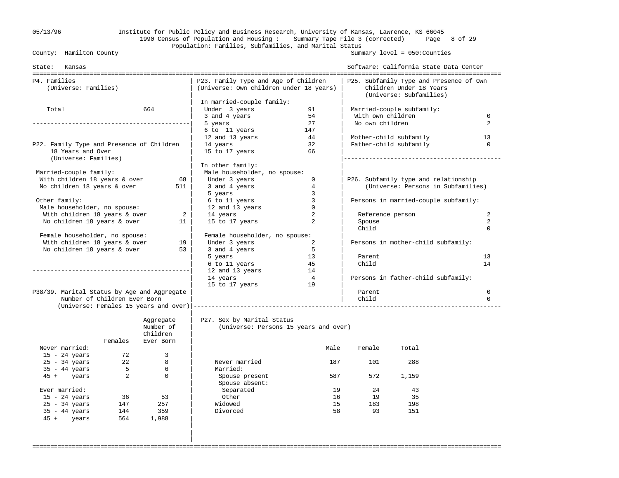## 05/13/96 Institute for Public Policy and Business Research, University of Kansas, Lawrence, KS 66045 1990 Census of Population and Housing : Summary Tape File 3 (corrected) Page 8 of 29 Population: Families, Subfamilies, and Marital Status<br>County: Hamilton County

Summary level =  $050$ : Counties

| State: Kansas                               |                              |                |                                                                                 |                |                   | Software: California State Data Center                                                        |              |
|---------------------------------------------|------------------------------|----------------|---------------------------------------------------------------------------------|----------------|-------------------|-----------------------------------------------------------------------------------------------|--------------|
| P4. Families<br>(Universe: Families)        |                              |                | P23. Family Type and Age of Children<br>(Universe: Own children under 18 years) |                |                   | P25. Subfamily Type and Presence of Own<br>Children Under 18 Years<br>(Universe: Subfamilies) |              |
|                                             |                              |                | In married-couple family:                                                       |                |                   |                                                                                               |              |
| Total                                       |                              | 664            | Under 3 years                                                                   | 91             |                   | Married-couple subfamily:                                                                     |              |
|                                             |                              |                | 3 and 4 years                                                                   | 54             | With own children |                                                                                               | $\Omega$     |
|                                             |                              |                | 5 years                                                                         | 27             | No own children   |                                                                                               | 2            |
|                                             |                              |                | 6 to 11 years                                                                   | 147            |                   |                                                                                               |              |
|                                             |                              |                | 12 and 13 years                                                                 | 44             |                   | Mother-child subfamily                                                                        | 13           |
| P22. Family Type and Presence of Children   |                              |                | 14 years                                                                        | 32             |                   | Father-child subfamily                                                                        | $\mathbf{0}$ |
| 18 Years and Over<br>(Universe: Families)   |                              |                | 15 to 17 years                                                                  | 66             |                   |                                                                                               |              |
|                                             |                              |                | In other family:                                                                |                |                   |                                                                                               |              |
| Married-couple family:                      |                              |                | Male householder, no spouse:                                                    |                |                   |                                                                                               |              |
| With children 18 years & over               |                              | 68             | Under 3 years                                                                   | $\mathbf 0$    |                   | P26. Subfamily type and relationship                                                          |              |
| No children 18 years & over                 |                              | 511            | 3 and 4 years                                                                   | $\overline{4}$ |                   | (Universe: Persons in Subfamilies)                                                            |              |
|                                             |                              |                | 5 years                                                                         | $\overline{3}$ |                   |                                                                                               |              |
| Other family:                               |                              |                | 6 to 11 years                                                                   | 3              |                   | Persons in married-couple subfamily:                                                          |              |
| Male householder, no spouse:                |                              |                | 12 and 13 years                                                                 | $\circ$        |                   |                                                                                               |              |
| With children 18 years & over               |                              | $\overline{a}$ | 14 years                                                                        | 2              | Reference person  |                                                                                               | 2            |
| No children 18 years & over                 |                              | 11             | 15 to 17 years                                                                  | $\overline{a}$ | Spouse            |                                                                                               | 2            |
|                                             |                              |                |                                                                                 |                | Child             |                                                                                               | $\Omega$     |
| Female householder, no spouse:              |                              |                | Female householder, no spouse:                                                  |                |                   |                                                                                               |              |
| With children 18 years & over               |                              | 19             | Under 3 years                                                                   | 2              |                   | Persons in mother-child subfamily:                                                            |              |
| No children 18 years & over                 |                              | 53             | 3 and 4 years                                                                   | $-5$           |                   |                                                                                               |              |
|                                             |                              |                | 5 years                                                                         | 13             | Parent            |                                                                                               | 13           |
|                                             |                              |                | 6 to 11 years                                                                   | 45             | Child             |                                                                                               | 14           |
|                                             |                              |                | 12 and 13 years                                                                 | 14             |                   |                                                                                               |              |
|                                             |                              |                | 14 years                                                                        | $\overline{4}$ |                   | Persons in father-child subfamily:                                                            |              |
|                                             |                              |                | 15 to 17 years                                                                  | 19             |                   |                                                                                               |              |
| P38/39. Marital Status by Age and Aggregate |                              |                |                                                                                 |                | Parent            |                                                                                               | $\mathbf 0$  |
|                                             | Number of Children Ever Born |                |                                                                                 |                | Child             |                                                                                               | $\Omega$     |
|                                             |                              |                |                                                                                 |                |                   |                                                                                               |              |
|                                             |                              | Aggregate      | P27. Sex by Marital Status                                                      |                |                   |                                                                                               |              |
|                                             |                              | Number of      | (Universe: Persons 15 years and over)                                           |                |                   |                                                                                               |              |
|                                             | Females                      | Children       |                                                                                 |                |                   |                                                                                               |              |
| Never married:                              |                              | Ever Born      |                                                                                 | Male           | Female            | Total                                                                                         |              |
| $15 - 24$ years                             | 72                           | 3              |                                                                                 |                |                   |                                                                                               |              |
| $25 - 34$ years                             | 22                           | 8              | Never married                                                                   | 187            | 101               | 288                                                                                           |              |
| $35 - 44$ years                             | 5                            | 6              | Married:                                                                        |                |                   |                                                                                               |              |
| 45 + years                                  | 2                            | $\mathbf 0$    | Spouse present                                                                  | 587            | 572               | 1,159                                                                                         |              |
|                                             |                              |                | Spouse absent:                                                                  |                |                   |                                                                                               |              |
| Ever married:                               |                              |                | Separated                                                                       | 19             | 24                | 43                                                                                            |              |
| $15 - 24$ years                             | 36                           | 53             | Other                                                                           | 16             | 19                | 35                                                                                            |              |
| $25 - 34$ years                             | 147                          | 257            | Widowed                                                                         | 15             | 183               | 198                                                                                           |              |
| $35 - 44$ years                             | 144                          | 359            | Divorced                                                                        | 58             | 93                | 151                                                                                           |              |
| 45 + years                                  | 564                          | 1,988          |                                                                                 |                |                   |                                                                                               |              |
|                                             |                              |                |                                                                                 |                |                   |                                                                                               |              |
|                                             |                              |                |                                                                                 |                |                   |                                                                                               |              |
|                                             |                              |                |                                                                                 |                |                   |                                                                                               |              |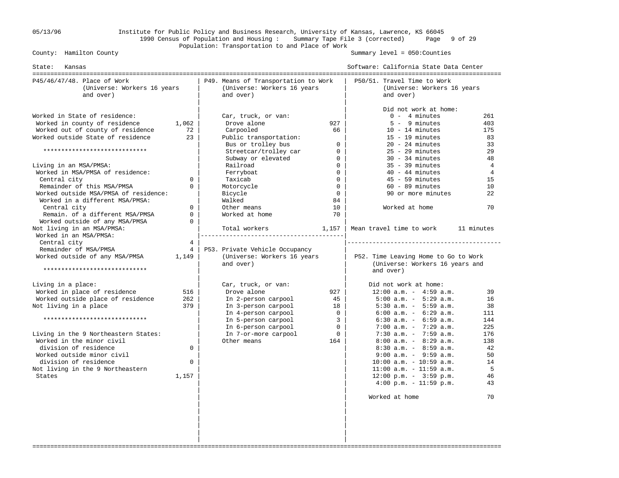#### 05/13/96 Institute for Public Policy and Business Research, University of Kansas, Lawrence, KS 66045 1990 Census of Population and Housing : Summary Tape File 3 (corrected) Page 9 of 29 Population: Transportation to and Place of Work

Summary level =  $050$ : Counties

| State:<br>Kansas                                                                                                                                                                                                                                                                                                                                              |                                                                                                                                                                                                                                                                                                                            | Software: California State Data Center                                                                                                                                                                                                                                                                                                                                                                                                                                                                                                                                                         |
|---------------------------------------------------------------------------------------------------------------------------------------------------------------------------------------------------------------------------------------------------------------------------------------------------------------------------------------------------------------|----------------------------------------------------------------------------------------------------------------------------------------------------------------------------------------------------------------------------------------------------------------------------------------------------------------------------|------------------------------------------------------------------------------------------------------------------------------------------------------------------------------------------------------------------------------------------------------------------------------------------------------------------------------------------------------------------------------------------------------------------------------------------------------------------------------------------------------------------------------------------------------------------------------------------------|
| P45/46/47/48. Place of Work<br>(Universe: Workers 16 years<br>and over)                                                                                                                                                                                                                                                                                       | P49. Means of Transportation to Work<br>(Universe: Workers 16 years<br>and over)                                                                                                                                                                                                                                           | P50/51. Travel Time to Work<br>(Universe: Workers 16 years<br>and over)                                                                                                                                                                                                                                                                                                                                                                                                                                                                                                                        |
| Worked in State of residence:<br>Worked in county of residence<br>1,062<br>Worked out of county of residence<br>Worked outside State of residence<br>*****************************                                                                                                                                                                            | Car, truck, or van:<br>Drove alone<br>927<br>72<br>Carpooled<br>66<br>23<br>Public transportation:<br>Bus or trolley bus<br>$\Omega$<br>Streetcar/trolley car<br>$\overline{0}$<br>Subway or elevated<br>$\mathbf{0}$                                                                                                      | Did not work at home:<br>$0 - 4$ minutes<br>261<br>$5 - 9$ minutes<br>403<br>$10 - 14$ minutes<br>175<br>$15 - 19$ minutes<br>83<br>$20 - 24$ minutes<br>33<br>$25 - 29$ minutes<br>29<br>$30 - 34$ minutes<br>48                                                                                                                                                                                                                                                                                                                                                                              |
| Living in an MSA/PMSA:<br>Worked in MSA/PMSA of residence:<br>Central city<br>Remainder of this MSA/PMSA<br>Worked outside MSA/PMSA of residence:<br>Worked in a different MSA/PMSA:<br>Central city<br>Remain. of a different MSA/PMSA<br>Worked outside of any MSA/PMSA                                                                                     | $\overline{0}$<br>Railroad<br>Ferryboat<br>$\overline{0}$<br>$\mathbf{0}$<br>$\Omega$<br>Taxicab<br>$\Omega$<br>Motorcycle<br>$\overline{0}$<br>Bicycle<br>$\overline{0}$<br>Walked<br>84<br>$\Omega$<br>Other means<br>10<br>$\mathbf 0$<br>Worked at home<br>70<br>$\Omega$                                              | $35 - 39$ minutes<br>$\overline{4}$<br>$40 - 44$ minutes<br>4<br>$45 - 59$ minutes<br>15<br>$60 - 89$ minutes<br>10<br>90 or more minutes<br>22<br>Worked at home<br>70                                                                                                                                                                                                                                                                                                                                                                                                                        |
| Not living in an MSA/PMSA:<br>Worked in an MSA/PMSA:<br>Central city<br>Remainder of MSA/PMSA<br>Worked outside of any MSA/PMSA<br>1,149<br>*****************************                                                                                                                                                                                     | Total workers<br>1,157<br>$4\overline{ }$<br>P53. Private Vehicle Occupancy<br>$4\overline{ }$<br>(Universe: Workers 16 years<br>and over)                                                                                                                                                                                 | Mean travel time to work<br>11 minutes<br>P52. Time Leaving Home to Go to Work<br>(Universe: Workers 16 years and<br>and over)                                                                                                                                                                                                                                                                                                                                                                                                                                                                 |
| Living in a place:<br>Worked in place of residence<br>Worked outside place of residence<br>Not living in a place<br>*****************************<br>Living in the 9 Northeastern States:<br>Worked in the minor civil<br>division of residence<br>Worked outside minor civil<br>division of residence<br>Not living in the 9 Northeastern<br>States<br>1,157 | Car, truck, or van:<br>Drove alone<br>927<br>516<br>In 2-person carpool<br>262<br>45<br>379<br>In 3-person carpool<br>18<br>In 4-person carpool<br>$\mathbf{0}$<br>In 5-person carpool<br>$\overline{3}$<br>In 6-person carpool<br>$\mathbf{0}$<br>$\Omega$<br>In 7-or-more carpool<br>Other means<br>164<br>$\Omega$<br>0 | Did not work at home:<br>$12:00$ a.m. - $4:59$ a.m.<br>39<br>$5:00$ a.m. - $5:29$ a.m.<br>16<br>$5:30$ a.m. - $5:59$ a.m.<br>38<br>$6:00$ a.m. - $6:29$ a.m.<br>111<br>$6:30$ a.m. - $6:59$ a.m.<br>144<br>$7:00$ a.m. - $7:29$ a.m.<br>225<br>$7:30$ a.m. - $7:59$ a.m.<br>176<br>$8:00$ a.m. - $8:29$ a.m.<br>138<br>$8:30$ a.m. - $8:59$ a.m.<br>42<br>$9:00$ a.m. - $9:59$ a.m.<br>50<br>$10:00$ a.m. - $10:59$ a.m.<br>14<br>$11:00$ a.m. - $11:59$ a.m.<br>5<br>$12:00 \text{ p.m.} - 3:59 \text{ p.m.}$<br>46<br>$4:00 \text{ p.m.} - 11:59 \text{ p.m.}$<br>43<br>Worked at home<br>70 |
|                                                                                                                                                                                                                                                                                                                                                               |                                                                                                                                                                                                                                                                                                                            |                                                                                                                                                                                                                                                                                                                                                                                                                                                                                                                                                                                                |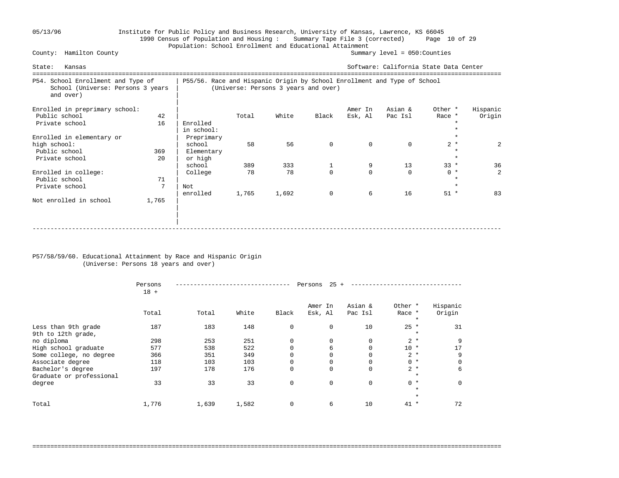## 05/13/96 Institute for Public Policy and Business Research, University of Kansas, Lawrence, KS 66045 1990 Census of Population and Housing : Summary Tape File 3 (corrected) Page 10 of 29 Population: School Enrollment and Educational Attainment<br>County: Hamilton County

Summary level =  $050$ : Counties

| Kansas<br>State:                                                                     |           |                                               |                                                                                                                  |           |             |                    | Software: California State Data Center |                   |                    |  |
|--------------------------------------------------------------------------------------|-----------|-----------------------------------------------|------------------------------------------------------------------------------------------------------------------|-----------|-------------|--------------------|----------------------------------------|-------------------|--------------------|--|
| P54. School Enrollment and Type of<br>School (Universe: Persons 3 years<br>and over) |           |                                               | P55/56. Race and Hispanic Origin by School Enrollment and Type of School<br>(Universe: Persons 3 years and over) |           |             |                    |                                        |                   |                    |  |
| Enrolled in preprimary school:<br>Public school<br>Private school                    | 42<br>16  | Enrolled<br>in school:                        | Total                                                                                                            | White     | Black       | Amer In<br>Esk, Al | Asian &<br>Pac Isl                     | Other *<br>Race * | Hispanic<br>Origin |  |
| Enrolled in elementary or<br>high school:<br>Public school<br>Private school         | 369<br>20 | Preprimary<br>school<br>Elementary<br>or high | 58                                                                                                               | 56        | $\mathbf 0$ | $\Omega$           | $\Omega$                               | $2 *$<br>$\star$  | 2                  |  |
| Enrolled in college:<br>Public school<br>Private school                              | 71<br>7   | school<br>College<br>Not                      | 389<br>78                                                                                                        | 333<br>78 | $\Omega$    | 9<br>$\Omega$      | 13<br>$\Omega$                         | $33 *$<br>$0 *$   | 36<br>$2^{1}$      |  |
| Not enrolled in school                                                               | 1,765     | enrolled                                      | 1,765                                                                                                            | 1,692     | $\mathbf 0$ | 6                  | 16                                     | $51 *$            | 83                 |  |
|                                                                                      |           |                                               |                                                                                                                  |           |             |                    |                                        |                   |                    |  |

#### P57/58/59/60. Educational Attainment by Race and Hispanic Origin (Universe: Persons 18 years and over)

|                                               | Persons<br>$18 +$ |       | 25<br>Persons |             |                    |                    |                              |                    |  |
|-----------------------------------------------|-------------------|-------|---------------|-------------|--------------------|--------------------|------------------------------|--------------------|--|
|                                               | Total             | Total | White         | Black       | Amer In<br>Esk, Al | Asian &<br>Pac Isl | Other *<br>Race *<br>$\star$ | Hispanic<br>Origin |  |
| Less than 9th grade<br>9th to 12th grade,     | 187               | 183   | 148           | $\mathbf 0$ | $\Omega$           | 10                 | $25 *$<br>$\star$            | 31                 |  |
| no diploma                                    | 298               | 253   | 251           | $\mathbf 0$ | 0                  | 0                  | $2 *$                        | 9                  |  |
| High school graduate                          | 577               | 538   | 522           | $\Omega$    | 6                  | $\Omega$           | $10 *$                       |                    |  |
| Some college, no degree                       | 366               | 351   | 349           | $\Omega$    |                    | $\Omega$           | $2 *$                        | 9                  |  |
| Associate degree                              | 118               | 103   | 103           | $\mathbf 0$ | $\Omega$           | 0                  | $0 *$                        |                    |  |
| Bachelor's degree<br>Graduate or professional | 197               | 178   | 176           | $\mathbf 0$ | $\Omega$           | 0                  | $2 *$<br>$\star$             | 6                  |  |
| degree                                        | 33                | 33    | 33            | $\mathbf 0$ | $\mathbf 0$        | $\mathbf 0$        | $0 *$<br>$\star$             | $\Omega$           |  |
|                                               |                   |       |               |             |                    |                    | $\star$                      |                    |  |
| Total                                         | 1,776             | 1,639 | 1,582         | $\mathbf 0$ | 6                  | 10                 | $41 *$                       | 72                 |  |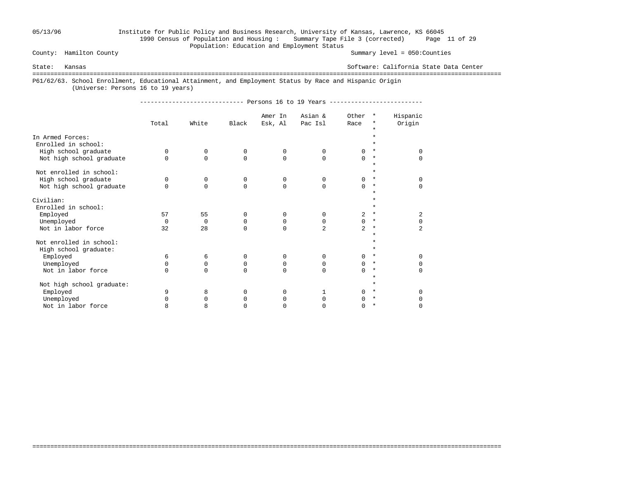### 05/13/96 Institute for Public Policy and Business Research, University of Kansas, Lawrence, KS 66045 1990 Census of Population and Housing : Summary Tape File 3 (corrected) Page 11 of 29 Population: Education and Employment Status<br>County: Hamilton County

Summary level =  $050$ : Counties

State: Kansas Software: California State Data Center

===================================================================================================================================

===================================================================================================================================

P61/62/63. School Enrollment, Educational Attainment, and Employment Status by Race and Hispanic Origin

(Universe: Persons 16 to 19 years)

----------------------------- Persons 16 to 19 Years --------------------------

|                           |          |          |          | Amer In  | Asian &        | Other          | $\star$            | Hispanic       |
|---------------------------|----------|----------|----------|----------|----------------|----------------|--------------------|----------------|
|                           | Total    | White    | Black    | Esk, Al  | Pac Isl        | Race           | *                  | Origin         |
|                           |          |          |          |          |                |                | $\star$            |                |
| In Armed Forces:          |          |          |          |          |                |                | *                  |                |
| Enrolled in school:       |          |          |          |          |                |                |                    |                |
| High school graduate      | $\Omega$ | 0        | 0        | 0        | 0              | $\Omega$       | $\star$            | $\Omega$       |
| Not high school graduate  | $\Omega$ | $\Omega$ | $\Omega$ | $\Omega$ | $\Omega$       | $\Omega$       | $^\star$           | $\Omega$       |
| Not enrolled in school:   |          |          |          |          |                |                | $\star$<br>$\star$ |                |
|                           | $\Omega$ | 0        | 0        | 0        | $\Omega$       | 0              | $\star$            | $\Omega$       |
| High school graduate      | $\cap$   | $\Omega$ | $\Omega$ |          |                |                | $\ast$             |                |
| Not high school graduate  |          |          |          | $\Omega$ | $\Omega$       | $\Omega$       | $\star$            | $\Omega$       |
|                           |          |          |          |          |                |                | *                  |                |
| Civilian:                 |          |          |          |          |                |                |                    |                |
| Enrolled in school:       |          |          |          |          |                |                | $\star$            |                |
| Employed                  | 57       | 55       | 0        | 0        | $\Omega$       | 2              | $\star$            | 2              |
| Unemployed                | $\Omega$ | 0        | 0        | 0        | 0              | $\Omega$       | $^\ast$            | 0              |
| Not in labor force        | 32       | 28       | $\Omega$ | $\Omega$ | $\overline{2}$ | $\overline{a}$ | $\ast$             | $\overline{a}$ |
|                           |          |          |          |          |                |                | $\star$            |                |
| Not enrolled in school:   |          |          |          |          |                |                | $\star$            |                |
| High school graduate:     |          |          |          |          |                |                | $\star$            |                |
| Employed                  | 6        | 6        | 0        | 0        | $\Omega$       | $\Omega$       | $\star$            | $\Omega$       |
| Unemployed                | $\Omega$ | 0        | 0        | 0        | 0              | $\Omega$       | $^\star$           | $\Omega$       |
| Not in labor force        | $\cap$   | $\Omega$ | $\Omega$ | $\Omega$ | $\Omega$       | $\cap$         | $\star$            | $\Omega$       |
| Not high school graduate: |          |          |          |          |                |                | $\star$<br>$\star$ |                |
|                           | 9        |          | $\Omega$ |          |                | $\cap$         | $\star$            | $\Omega$       |
| Employed                  |          | 8        |          | $\Omega$ | 1              |                | $\star$            |                |
| Unemployed                | 0        | $\Omega$ | 0        | 0        | O              | 0              |                    | 0              |
| Not in labor force        | 8        | 8        | 0        | U        | O              | 0              | $\ast$             | $\Omega$       |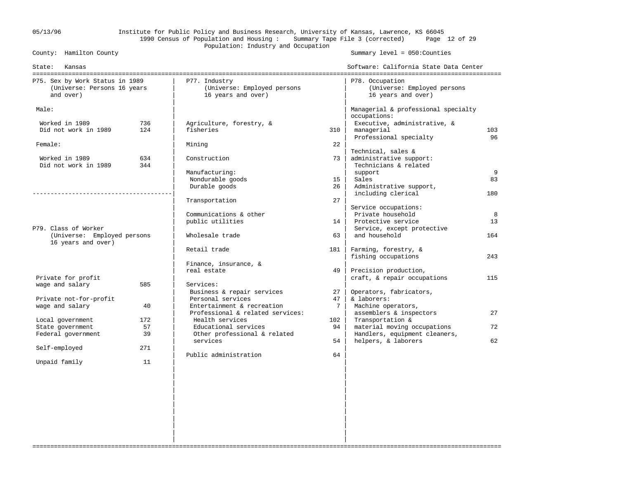## 05/13/96 Institute for Public Policy and Business Research, University of Kansas, Lawrence, KS 66045 1990 Census of Population and Housing : Summary Tape File 3 (corrected) Page 12 of 29 Population: Industry and Occupation<br>County: Hamilton County

Summary level =  $050$ : Counties

| State:<br>Kansas                                                            |     |                                                                    |             | Software: California State Data Center                               |     |
|-----------------------------------------------------------------------------|-----|--------------------------------------------------------------------|-------------|----------------------------------------------------------------------|-----|
| P75. Sex by Work Status in 1989<br>(Universe: Persons 16 years<br>and over) |     | P77. Industry<br>(Universe: Employed persons<br>16 years and over) |             | P78. Occupation<br>(Universe: Employed persons<br>16 years and over) |     |
| Male:                                                                       |     |                                                                    |             | Managerial & professional specialty<br>occupations:                  |     |
| Worked in 1989                                                              | 736 | Agriculture, forestry, &                                           |             | Executive, administrative, &                                         |     |
| Did not work in 1989                                                        | 124 | fisheries                                                          | 310         | managerial                                                           | 103 |
|                                                                             |     |                                                                    |             | Professional specialty                                               | 96  |
| Female:                                                                     |     | Mining                                                             | 22          |                                                                      |     |
|                                                                             |     |                                                                    |             | Technical, sales &                                                   |     |
| Worked in 1989                                                              | 634 | Construction                                                       | 73          | administrative support:                                              |     |
| Did not work in 1989                                                        | 344 |                                                                    |             | Technicians & related                                                |     |
|                                                                             |     | Manufacturing:                                                     |             | support                                                              | 9   |
|                                                                             |     | Nondurable goods                                                   | 15          | Sales                                                                | 83  |
|                                                                             |     | Durable goods                                                      | 26          | Administrative support,                                              |     |
|                                                                             |     |                                                                    |             | including clerical                                                   | 180 |
|                                                                             |     | Transportation                                                     | 27          |                                                                      |     |
|                                                                             |     |                                                                    |             | Service occupations:                                                 |     |
|                                                                             |     | Communications & other                                             |             | Private household                                                    | 8   |
| P79. Class of Worker                                                        |     | public utilities                                                   | 14          | Protective service                                                   | 13  |
| (Universe: Employed persons                                                 |     | Wholesale trade                                                    | 63          | Service, except protective<br>and household                          | 164 |
| 16 years and over)                                                          |     |                                                                    |             |                                                                      |     |
|                                                                             |     | Retail trade                                                       | 181         | Farming, forestry, &                                                 |     |
|                                                                             |     |                                                                    |             | fishing occupations                                                  | 243 |
|                                                                             |     | Finance, insurance, &                                              |             |                                                                      |     |
|                                                                             |     | real estate                                                        | 49          | Precision production,                                                |     |
| Private for profit                                                          |     |                                                                    |             | craft, & repair occupations                                          | 115 |
| wage and salary                                                             | 585 | Services:                                                          |             |                                                                      |     |
|                                                                             |     | Business & repair services                                         | 27          | Operators, fabricators,                                              |     |
| Private not-for-profit                                                      |     | Personal services                                                  | 47          | & laborers:                                                          |     |
| wage and salary                                                             | 40  | Entertainment & recreation                                         | $7^{\circ}$ | Machine operators,                                                   |     |
|                                                                             |     | Professional & related services:                                   |             | assemblers & inspectors                                              | 27  |
| Local government                                                            | 172 | Health services                                                    | 102         | Transportation &                                                     |     |
| State government                                                            | 57  | Educational services                                               | 94          | material moving occupations                                          | 72  |
| Federal government                                                          | 39  | Other professional & related                                       |             | Handlers, equipment cleaners,                                        |     |
|                                                                             |     | services                                                           | 54          | helpers, & laborers                                                  | 62  |
| Self-employed                                                               | 271 | Public administration                                              | 64          |                                                                      |     |
| Unpaid family                                                               | 11  |                                                                    |             |                                                                      |     |
|                                                                             |     |                                                                    |             |                                                                      |     |
|                                                                             |     |                                                                    |             |                                                                      |     |
|                                                                             |     |                                                                    |             |                                                                      |     |
|                                                                             |     |                                                                    |             |                                                                      |     |
|                                                                             |     |                                                                    |             |                                                                      |     |
|                                                                             |     |                                                                    |             |                                                                      |     |
|                                                                             |     |                                                                    |             |                                                                      |     |
|                                                                             |     |                                                                    |             |                                                                      |     |
|                                                                             |     |                                                                    |             |                                                                      |     |

===================================================================================================================================

 | | | |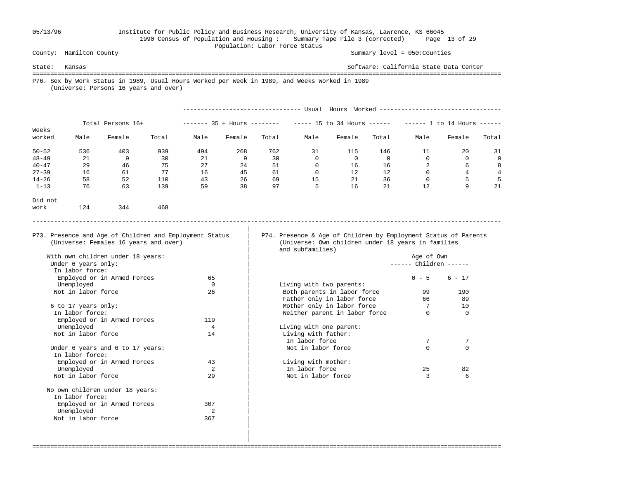#### 05/13/96 Institute for Public Policy and Business Research, University of Kansas, Lawrence, KS 66045 1990 Census of Population and Housing : Summary Tape File 3 (corrected) Page 13 of 29 Population: Labor Force Status

County: Hamilton County Summary level = 050:Counties

State: Kansas Software: California State Data Center =================================================================================================================================== P76. Sex by Work Status in 1989, Usual Hours Worked per Week in 1989, and Weeks Worked in 1989 (Universe: Persons 16 years and over) --------------------------------- Usual Hours Worked ---------------------------------- Total Persons 16+ ------- 35 + Hours ------- ----- 15 to 34 Hours ------ ----- 1 to 14 Hours -----Weeks<br>worked Male Female Total Male Female Total Male Female Total Male Female Total 50-52 536 403 939 494 268 762 31 115 146 11 20 31 48-49 21 9 30 21 9 30 0 0 0 0 0 0 40-47 29 46 75 27 24 51 0 16 16 2 6 8 27-39 16 61 77 16 45 61 0 12 12 0 4 4 14-26 58 52 110 43 26 69 15 21 36 0 5 5 1-13 76 63 139 59 38 97 5 16 21 12 9 21 Did not work 124 344 468 ----------------------------------------------------------------------------------------------------------------------------------- | P73. Presence and Age of Children and Employment Status | P74. Presence & Age of Children by Employment Status of Parents (Universe: Females 16 years and over) | (Universe: Own children under 18 years in families and subfamilies)

===================================================================================================================================

------ Children ------

| Not in labor force               | 26  | Both parents in labor force   | 99       | 190      |
|----------------------------------|-----|-------------------------------|----------|----------|
|                                  |     | Father only in labor force    | 66       | 89       |
| 6 to 17 years only:              |     | Mother only in labor force    |          | 10       |
| In labor force:                  |     | Neither parent in labor force | 0        | $\Omega$ |
| Employed or in Armed Forces      | 119 |                               |          |          |
| Unemployed                       |     | Living with one parent:       |          |          |
| Not in labor force               | 14  | Living with father:           |          |          |
|                                  |     | In labor force                |          |          |
| Under 6 years and 6 to 17 years: |     | Not in labor force            | $\Omega$ | $\Omega$ |
| In labor force:                  |     |                               |          |          |
| Employed or in Armed Forces      | 43  | Living with mother:           |          |          |
| Unemployed                       |     | In labor force                | 25       | 82       |
|                                  |     |                               |          |          |

 With own children under 18 years: | Age of Own In labor force:<br>Emploved or in Armed Forces 65 Employed or in Armed Forces 65  $\qquad \qquad$  65  $\qquad \qquad$  0 - 5 6 - 17 Unemployed 0 | Living with two parents:<br>
Not in labor force 0 26 | Both parents in labor f Not in labor force  $6$  to 17 years only: In labor force:<br>Emploved or in Armed Forces 0 0 119 Employed or in Armed Forces Unemployed and the set of the set of the set of the set of the set of the set of the set of the set of the set o Not in labor force 14 Under 6 years and 6 to 17 years: In labor force: Employed or in Armed Forces 43<br>Unemployed 2 Not in labor force 29 | Not in labor force 3 6 | No own children under 18 years: In labor force: Employed or in Armed Forces 307 Unemployed 2<br>
Vot in labor force 367 Not in labor force |

 | |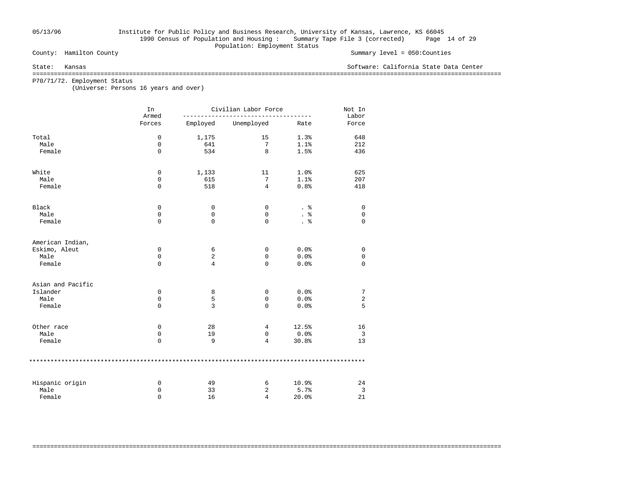## 05/13/96 Institute for Public Policy and Business Research, University of Kansas, Lawrence, KS 66045 1990 Census of Population and Housing : Summary Tape File 3 (corrected) Page 14 of 29 Population: Employment Status<br>
County: Hamilton County

Summary level =  $050$ : Counties

State: Kansas Software: California State Data Center

===================================================================================================================================

===================================================================================================================================

P70/71/72. Employment Status

(Universe: Persons 16 years and over)

|                   | In<br>Armed | Civilian Labor Force |                | Not In<br>Labor |                |
|-------------------|-------------|----------------------|----------------|-----------------|----------------|
|                   | Forces      | Employed             | Unemployed     | Rate            | Force          |
| Total             | $\mathbf 0$ | 1,175                | 15             | 1.3%            | 648            |
| Male              | 0           | 641                  | 7              | 1.1%            | 212            |
| Female            | $\mathbf 0$ | 534                  | 8              | 1.5%            | 436            |
| White             | $\mathbf 0$ | 1,133                | 11             | 1.0%            | 625            |
| Male              | 0           | 615                  | 7              | 1.1%            | 207            |
| Female            | $\mathbf 0$ | 518                  | $\overline{4}$ | 0.8%            | 418            |
| Black             | 0           | 0                    | 0              | . 응             | 0              |
| Male              | 0           | 0                    | 0              |                 | 0              |
| Female            | $\mathbf 0$ | $\mathbf 0$          | 0              | . 응             | $\mathbf 0$    |
| American Indian,  |             |                      |                |                 |                |
| Eskimo, Aleut     | 0           | 6                    | 0              | 0.0%            | $\mathbf 0$    |
| Male              | 0           | 2                    | 0              | 0.0%            | 0              |
| Female            | $\mathbf 0$ | 4                    | 0              | 0.0%            | $\mathbf 0$    |
| Asian and Pacific |             |                      |                |                 |                |
| Islander          | 0           | 8                    | 0              | 0.0%            | 7              |
| Male              | 0           | 5                    | $\mathbf 0$    | 0.0%            | 2              |
| Female            | $\mathbf 0$ | 3                    | 0              | 0.0%            | 5              |
| Other race        | 0           | 28                   | 4              | 12.5%           | 16             |
| Male              | 0           | 19                   | $\mathbf 0$    | 0.0%            | $\overline{3}$ |
| Female            | $\mathbf 0$ | 9                    | 4              | 30.8%           | 13             |
|                   |             |                      |                |                 |                |
| Hispanic origin   | 0           | 49                   | 6              | 10.9%           | 24             |
| Male              | 0           | 33                   | 2              | 5.7%            | 3              |
| Female            | $\Omega$    | 16                   | $\overline{4}$ | 20.0%           | 21             |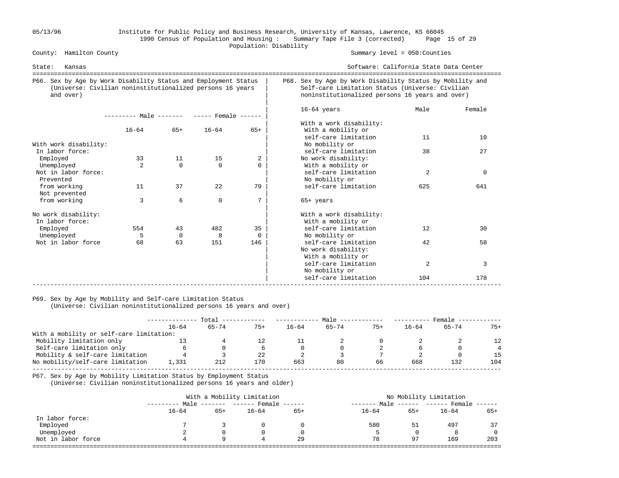### 05/13/96 Institute for Public Policy and Business Research, University of Kansas, Lawrence, KS 66045 1990 Census of Population and Housing : Summary Tape File 3 (corrected) Page 15 of 29 Population: Disability<br>
County: Hamilton County

Summary level =  $050$ : Counties

| Kansas<br>State:                                                                                                                          |                                     |                |                |                |                                                                                                                                                                 | Software: California State Data Center<br>=========================== |          |  |
|-------------------------------------------------------------------------------------------------------------------------------------------|-------------------------------------|----------------|----------------|----------------|-----------------------------------------------------------------------------------------------------------------------------------------------------------------|-----------------------------------------------------------------------|----------|--|
| P66. Sex by Age by Work Disability Status and Employment Status<br>(Universe: Civilian noninstitutionalized persons 16 years<br>and over) |                                     |                |                |                | P68. Sex by Age by Work Disability Status by Mobility and<br>Self-care Limitation Status (Universe: Civilian<br>noninstitutionalized persons 16 years and over) |                                                                       |          |  |
|                                                                                                                                           | $------$ Male $-- ---$ Female $---$ |                |                |                | $16-64$ years                                                                                                                                                   | Male                                                                  | Female   |  |
|                                                                                                                                           | $16 - 64$                           | $65+$          | $16 - 64$      | $65+$          | With a work disability:<br>With a mobility or<br>self-care limitation                                                                                           | 11                                                                    | 10       |  |
| With work disability:<br>In labor force:                                                                                                  |                                     |                |                |                | No mobility or<br>self-care limitation                                                                                                                          | 38                                                                    | 27       |  |
| Employed<br>Unemployed                                                                                                                    | 33<br>$\mathfrak{D}$                | 11<br>$\Omega$ | 15<br>$\Omega$ | 2<br>$\Omega$  | No work disability:<br>With a mobility or                                                                                                                       |                                                                       |          |  |
| Not in labor force:<br>Prevented                                                                                                          |                                     |                |                |                | self-care limitation<br>No mobility or                                                                                                                          | 2                                                                     | $\Omega$ |  |
| from working<br>Not prevented                                                                                                             | 11                                  | 37             | 22             | 79             | self-care limitation                                                                                                                                            | 625                                                                   | 641      |  |
| from working                                                                                                                              | 3                                   | 6              | $\mathbf 0$    | 7              | $65+$ years                                                                                                                                                     |                                                                       |          |  |
| No work disability:<br>In labor force:                                                                                                    |                                     |                |                |                | With a work disability:<br>With a mobility or                                                                                                                   |                                                                       |          |  |
| Employed<br>Unemployed                                                                                                                    | 554<br>5                            | 43<br>$\Omega$ | 482<br>8       | 35<br>$\Omega$ | self-care limitation<br>No mobility or                                                                                                                          | 12                                                                    | 30       |  |
| Not in labor force                                                                                                                        | 68                                  | 63             | 151            | 146            | self-care limitation<br>No work disability:<br>With a mobility or                                                                                               | 42                                                                    | 58       |  |
|                                                                                                                                           |                                     |                |                |                | self-care limitation<br>No mobility or                                                                                                                          | 2                                                                     | 3        |  |
|                                                                                                                                           |                                     |                |                |                | self-care limitation                                                                                                                                            | 104                                                                   | 178      |  |

#### P69. Sex by Age by Mobility and Self-care Limitation Status

(Universe: Civilian noninstitutionalized persons 16 years and over)

|                                          | Total     |           |       | Male      |           |       | Female    |           |                 |
|------------------------------------------|-----------|-----------|-------|-----------|-----------|-------|-----------|-----------|-----------------|
|                                          | $16 - 64$ | $65 - 74$ | $75+$ | $16 - 64$ | $65 - 74$ | $75+$ | $16 - 64$ | $65 - 74$ | $75+$           |
| With a mobility or self-care limitation: |           |           |       |           |           |       |           |           |                 |
| Mobility limitation only                 |           |           |       |           |           |       |           |           | 12 <sup>°</sup> |
| Self-care limitation only                |           |           |       |           |           |       |           |           |                 |
| Mobility & self-care limitation          |           |           | 22    |           |           |       |           |           | 15              |
| No mobility/self-care limitation         | 1,331     | 212       | 170   | 663       | 80        | 66    | 668       | 132       | 104             |
|                                          |           |           |       |           |           |       |           |           |                 |

P67. Sex by Age by Mobility Limitation Status by Employment Status

(Universe: Civilian noninstitutionalized persons 16 years and older)

| With a Mobility Limitation |       |           |       | No Mobility Limitation            |     |           |                             |  |  |
|----------------------------|-------|-----------|-------|-----------------------------------|-----|-----------|-----------------------------|--|--|
|                            |       |           |       | --------                          |     |           |                             |  |  |
| $16 - 64$                  | $65+$ | $16 - 64$ | $65+$ | $16 - 64$                         | 65+ | $16 - 64$ | $65+$                       |  |  |
|                            |       |           |       |                                   |     |           |                             |  |  |
|                            |       |           |       | 580                               | 51  | 497       | 37                          |  |  |
| ∠                          |       |           |       |                                   |     |           |                             |  |  |
| 4                          |       |           | 29    | 78                                | 97  | 169       | 203                         |  |  |
|                            |       |           |       | Male ------- ------ Female ------ |     | Male      | $----- - ---$ Female $----$ |  |  |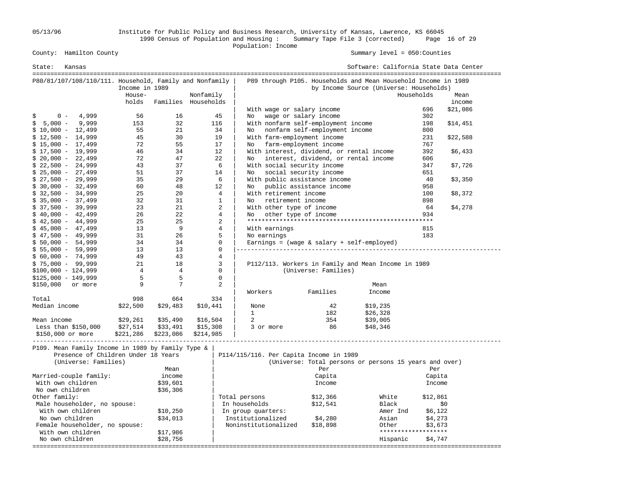05/13/96 Institute for Public Policy and Business Research, University of Kansas, Lawrence, KS 66045 1990 Census of Population and Housing : Summary Tape File 3 (corrected) Page 16 of 29 Population: Income

| State:<br>Kansas                                            |                |                      |                     |                      |                             |                                                           | Software: California State Data Center                                                                    |                     |          |
|-------------------------------------------------------------|----------------|----------------------|---------------------|----------------------|-----------------------------|-----------------------------------------------------------|-----------------------------------------------------------------------------------------------------------|---------------------|----------|
| P80/81/107/108/110/111. Household, Family and Nonfamily     | Income in 1989 |                      |                     |                      |                             |                                                           | P89 through P105. Households and Mean Household Income in 1989<br>by Income Source (Universe: Households) |                     |          |
|                                                             | House-         |                      | Nonfamily           |                      |                             |                                                           |                                                                                                           | Households          | Mean     |
|                                                             | holds          |                      | Families Households |                      |                             |                                                           |                                                                                                           |                     | income   |
|                                                             |                |                      |                     |                      | With wage or salary income  |                                                           |                                                                                                           | 696                 | \$21,086 |
| 4,999<br>$0 -$<br>\$                                        | 56             | 16                   | 45                  | No                   | wage or salary income       |                                                           |                                                                                                           | 302                 |          |
| 9,999<br>$5,000 -$<br>\$                                    | 153            | 32                   | 116                 |                      |                             | With nonfarm self-employment income                       |                                                                                                           | 198                 | \$14,451 |
| $$10,000 - 12,499$                                          | 55             | 21                   | 34                  | No                   |                             | nonfarm self-employment income                            |                                                                                                           | 800                 |          |
| $$12,500 - 14,999$                                          | 45             | 30                   | 19                  |                      | With farm-employment income |                                                           |                                                                                                           | 231                 | \$22,588 |
| $$15,000 - 17,499$                                          | 72             | 55                   | 17                  | No                   | farm-employment income      |                                                           |                                                                                                           | 767                 |          |
| $$17,500 - 19,999$                                          | 46             | 34                   | 12                  |                      |                             |                                                           | With interest, dividend, or rental income                                                                 | 392                 | \$6,433  |
| $$20,000 - 22,499$                                          | 72             | 47                   | 22                  | No                   |                             |                                                           | interest, dividend, or rental income                                                                      | 606                 |          |
| $$22,500 - 24,999$                                          | 43             | 37                   |                     | 6                    | With social security income |                                                           |                                                                                                           | 347                 | \$7,726  |
| $$25,000 - 27,499$                                          | 51<br>35       | 37<br>29             | 14                  | No                   |                             | social security income                                    |                                                                                                           | 651                 |          |
| $$27,500 - 29,999$                                          | 60             | 48                   | 12                  | 6<br>No.             |                             | With public assistance income<br>public assistance income |                                                                                                           | 40<br>958           | \$3,350  |
| $$30,000 - 32,499$<br>$$32,500 - 34,999$                    | 25             | 20                   |                     | 4                    | With retirement income      |                                                           |                                                                                                           | 100                 |          |
| $$35,000 - 37,499$                                          | 32             | 31                   |                     | $\mathbf{1}$<br>No.  | retirement income           |                                                           |                                                                                                           | 898                 | \$8,372  |
| $$37,500 - 39,999$                                          | 23             | 21                   |                     | 2                    | With other type of income   |                                                           |                                                                                                           | 64                  | \$4,278  |
| $$40,000 - 42,499$                                          | 26             | 22                   |                     | 4<br>No              | other type of income        |                                                           |                                                                                                           | 934                 |          |
| $$42,500 - 44,999$                                          | 25             | 25                   |                     | $\overline{a}$       |                             |                                                           |                                                                                                           |                     |          |
| $$45,000 - 47,499$                                          | 13             | 9                    |                     | $\overline{4}$       | With earnings               |                                                           |                                                                                                           | 815                 |          |
| $$47,500 - 49,999$                                          | 31             | 26                   |                     | 5                    | No earnings                 |                                                           |                                                                                                           | 183                 |          |
| $$50,000 - 54,999$                                          | 34             | 34                   |                     | $\mathbf{0}$         |                             |                                                           | Earnings = $(wage & salary + self-emploved)$                                                              |                     |          |
| $$55,000 - 59,999$                                          | 13             | 13                   |                     | $\mathbf 0$          |                             |                                                           |                                                                                                           |                     |          |
| $$60,000 - 74,999$                                          | 49             | 43                   |                     | 4                    |                             |                                                           |                                                                                                           |                     |          |
| $$75,000 - 99,999$                                          | 21             | 18                   |                     | 3                    |                             |                                                           | P112/113. Workers in Family and Mean Income in 1989                                                       |                     |          |
| $$100,000 - 124,999$                                        | $\overline{4}$ | $\overline{4}$       |                     | $\mathbf 0$          |                             | (Universe: Families)                                      |                                                                                                           |                     |          |
| $$125,000 - 149,999$                                        | 5              | 5                    |                     | $\mathsf 0$          |                             |                                                           |                                                                                                           |                     |          |
| \$150,000<br>or more                                        | 9              | 7                    |                     | 2                    |                             |                                                           | Mean                                                                                                      |                     |          |
|                                                             |                |                      |                     | Workers              |                             | Families                                                  | Income                                                                                                    |                     |          |
| Total                                                       | 998            | 664                  | 334                 |                      |                             |                                                           |                                                                                                           |                     |          |
| Median income                                               | \$22,500       | \$29,483             | \$10,441            | None                 |                             | 42                                                        | \$19,235                                                                                                  |                     |          |
|                                                             |                |                      |                     | $\mathbf{1}$         |                             | 182                                                       | \$26,328                                                                                                  |                     |          |
| Mean income                                                 | \$29,261       | \$35,490             | \$16,504            | 2                    |                             | 354                                                       | \$39,005                                                                                                  |                     |          |
| Less than \$150,000                                         | \$27,514       | \$33,491             | \$15,308            |                      | 3 or more                   | 86                                                        | \$48,346                                                                                                  |                     |          |
| \$150,000 or more                                           | \$221,286      | \$223,086            | \$214,985           |                      |                             |                                                           |                                                                                                           |                     |          |
| P109. Mean Family Income in 1989 by Family Type &           |                |                      |                     |                      |                             | _________________________________                         |                                                                                                           |                     |          |
| Presence of Children Under 18 Years<br>(Universe: Families) |                |                      |                     |                      |                             | P114/115/116. Per Capita Income in 1989                   | (Universe: Total persons or persons 15 years and over)                                                    |                     |          |
|                                                             |                |                      |                     |                      |                             |                                                           |                                                                                                           |                     |          |
|                                                             |                | Mean                 |                     |                      |                             | Per                                                       |                                                                                                           | Per                 |          |
| Married-couple family:<br>With own children                 |                | income               |                     |                      |                             | Capita<br>Income                                          |                                                                                                           | Capita<br>Income    |          |
| No own children                                             |                | \$39,601<br>\$36,306 |                     |                      |                             |                                                           |                                                                                                           |                     |          |
| Other family:                                               |                |                      |                     | Total persons        |                             | \$12,366                                                  | White                                                                                                     | \$12,861            |          |
| Male householder, no spouse:                                |                |                      |                     | In households        |                             | \$12,541                                                  | Black                                                                                                     |                     | \$0      |
| With own children                                           |                | \$10,250             |                     | In group quarters:   |                             |                                                           | Amer Ind                                                                                                  | \$6,122             |          |
| No own children                                             |                | \$34,013             |                     | Institutionalized    |                             | \$4,280                                                   | Asian                                                                                                     | \$4,273             |          |
| Female householder, no spouse:                              |                |                      |                     | Noninstitutionalized |                             | \$18,898                                                  | Other                                                                                                     | \$3,673             |          |
| With own children                                           |                | \$17,986             |                     |                      |                             |                                                           |                                                                                                           | ******************* |          |
| No own children                                             |                | \$28,756             |                     |                      |                             |                                                           | Hispanic                                                                                                  | \$4,747             |          |
|                                                             |                |                      |                     |                      |                             |                                                           |                                                                                                           |                     |          |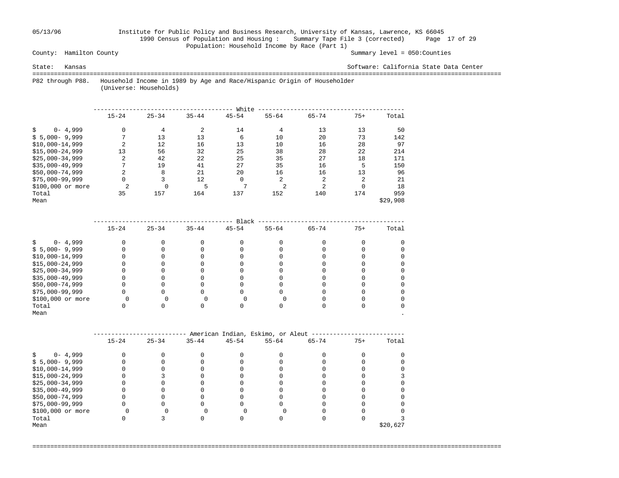## 05/13/96 Institute for Public Policy and Business Research, University of Kansas, Lawrence, KS 66045 1990 Census of Population and Housing : Summary Tape File 3 (corrected) Page 17 of 29 Population: Household Income by Race (Part 1)<br>County: Hamilton County

Summary level =  $050$ : Counties

State: Kansas Software: California State Data Center

 =================================================================================================================================== P82 through P88. Household Income in 1989 by Age and Race/Hispanic Origin of Householder

(Universe: Households)

|                   |                |           |           | White        |                |                |                |          |
|-------------------|----------------|-----------|-----------|--------------|----------------|----------------|----------------|----------|
|                   | $15 - 24$      | $25 - 34$ | $35 - 44$ | $45 - 54$    | $55 - 64$      | $65 - 74$      | $75+$          | Total    |
| $0 - 4,999$       | 0              | 4         |           | 14           | 4              | 13             | 13             | 50       |
| $$5,000-9,999$    | $\mathbf{r}$   | 13        | 13        | 6            | 10             | 20             | 73             | 142      |
| $$10,000-14,999$  | 2              | 12        | 16        | 13           | 10             | 16             | 28             | 97       |
| $$15,000-24,999$  | 13             | 56        | 32        | 25           | 38             | 28             | 22             | 214      |
| $$25,000-34,999$  | 2              | 42        | 22        | 25           | 35             | 27             | 18             | 171      |
| $$35,000-49,999$  | $\overline{ }$ | 19        | 41        | 27           | 35             | 16             | 5              | 150      |
| $$50,000-74,999$  | 2              | 8         | 21        | 20           | 16             | 16             | 13             | 96       |
| $$75,000-99,999$  | 0              | 3         | 12        | 0            | 2              | 2              | $\overline{c}$ | 21       |
| \$100,000 or more | 2              |           | 5         | $\mathbf{r}$ | $\overline{2}$ | $\overline{2}$ | $\Omega$       | 18       |
| Total             | 35             | 157       | 164       | 137          | 152            | 140            | 174            | 959      |
| Mean              |                |           |           |              |                |                |                | \$29,908 |

|                   |           |           |           | Black     |           |           |       |       |
|-------------------|-----------|-----------|-----------|-----------|-----------|-----------|-------|-------|
|                   | $15 - 24$ | $25 - 34$ | $35 - 44$ | $45 - 54$ | $55 - 64$ | $65 - 74$ | $75+$ | Total |
| $0 - 4,999$       |           |           |           |           |           |           |       |       |
| $$5,000-9,999$    |           |           |           |           |           |           |       |       |
| $$10,000-14,999$  |           |           |           |           |           |           |       |       |
| $$15,000-24,999$  |           |           |           |           |           |           |       |       |
| $$25,000-34,999$  |           |           |           |           |           |           |       |       |
| $$35,000-49,999$  |           |           |           |           |           |           |       |       |
| \$50,000-74,999   |           |           |           |           |           |           |       |       |
| $$75,000-99,999$  |           |           |           |           |           |           |       |       |
| \$100,000 or more |           |           |           |           |           |           |       |       |
| Total             |           |           |           |           |           |           |       |       |
| Mean              |           |           |           |           |           |           |       |       |

|                   |           |           |           |           | American Indian, Eskimo, or Aleut |           |       |          |
|-------------------|-----------|-----------|-----------|-----------|-----------------------------------|-----------|-------|----------|
|                   | $15 - 24$ | $25 - 34$ | $35 - 44$ | $45 - 54$ | $55 - 64$                         | $65 - 74$ | $75+$ | Total    |
| $0 - 4,999$       |           |           |           |           |                                   |           |       |          |
| $$5,000-9,999$    |           |           |           |           |                                   |           |       |          |
| $$10,000-14,999$  |           |           |           |           |                                   |           |       |          |
| $$15,000-24,999$  |           |           |           |           |                                   |           |       |          |
| $$25,000-34,999$  |           |           |           |           |                                   |           |       |          |
| $$35,000-49,999$  |           |           |           |           |                                   |           |       |          |
| $$50,000-74,999$  |           |           |           |           |                                   |           |       |          |
| $$75,000-99,999$  |           |           |           |           |                                   |           |       |          |
| \$100,000 or more |           |           |           |           |                                   |           |       |          |
| Total             |           |           |           |           |                                   |           |       |          |
| Mean              |           |           |           |           |                                   |           |       | \$20,627 |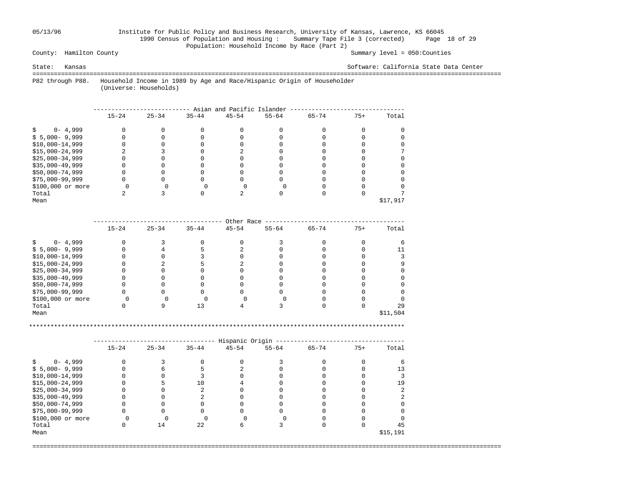### 05/13/96 Institute for Public Policy and Business Research, University of Kansas, Lawrence, KS 66045 1990 Census of Population and Housing : Summary Tape File 3 (corrected) Page 18 of 29 Population: Household Income by Race (Part 2)<br>County: Hamilton County

Summary level =  $050$ : Counties

#### State: Kansas Software: California State Data Center

 =================================================================================================================================== P82 through P88. Household Income in 1989 by Age and Race/Hispanic Origin of Householder

(Universe: Households)

|                   | Asian and Pacific Islander |           |           |           |           |           |       |          |  |  |
|-------------------|----------------------------|-----------|-----------|-----------|-----------|-----------|-------|----------|--|--|
|                   | $15 - 24$                  | $25 - 34$ | $35 - 44$ | $45 - 54$ | $55 - 64$ | $65 - 74$ | $75+$ | Total    |  |  |
| $0 - 4,999$       |                            |           |           |           |           |           |       |          |  |  |
| $$5,000-9,999$    |                            |           |           |           |           |           |       |          |  |  |
| $$10,000-14,999$  |                            |           |           |           |           |           |       |          |  |  |
| $$15,000-24,999$  |                            |           |           |           |           |           |       |          |  |  |
| $$25,000-34,999$  |                            |           |           |           |           |           |       |          |  |  |
| $$35,000-49,999$  |                            |           |           |           |           |           |       |          |  |  |
| \$50,000-74,999   |                            |           |           |           |           |           |       |          |  |  |
| $$75,000-99,999$  |                            |           |           |           |           |           |       |          |  |  |
| \$100,000 or more |                            |           |           |           |           |           |       |          |  |  |
| Total             |                            |           |           |           |           |           |       |          |  |  |
| Mean              |                            |           |           |           |           |           |       | \$17,917 |  |  |

|                   | Other Race |           |           |           |           |           |       |          |  |  |  |
|-------------------|------------|-----------|-----------|-----------|-----------|-----------|-------|----------|--|--|--|
|                   | $15 - 24$  | $25 - 34$ | $35 - 44$ | $45 - 54$ | $55 - 64$ | $65 - 74$ | $75+$ | Total    |  |  |  |
| $0 - 4,999$       |            |           |           |           |           |           |       |          |  |  |  |
| $$5,000-9,999$    |            |           |           |           |           |           |       |          |  |  |  |
| $$10,000-14,999$  |            |           |           |           |           |           |       |          |  |  |  |
| $$15,000-24,999$  |            |           |           |           |           |           |       |          |  |  |  |
| $$25,000-34,999$  |            |           |           |           |           |           |       |          |  |  |  |
| $$35,000-49,999$  |            |           |           |           |           |           |       |          |  |  |  |
| \$50,000-74,999   |            |           |           |           |           |           |       |          |  |  |  |
| $$75,000-99,999$  |            |           |           |           |           |           |       |          |  |  |  |
| \$100,000 or more |            |           |           |           |           |           |       |          |  |  |  |
| Total             |            |           |           |           |           |           |       | 29       |  |  |  |
| Mean              |            |           |           |           |           |           |       | \$11,504 |  |  |  |

\*\*\*\*\*\*\*\*\*\*\*\*\*\*\*\*\*\*\*\*\*\*\*\*\*\*\*\*\*\*\*\*\*\*\*\*\*\*\*\*\*\*\*\*\*\*\*\*\*\*\*\*\*\*\*\*\*\*\*\*\*\*\*\*\*\*\*\*\*\*\*\*\*\*\*\*\*\*\*\*\*\*\*\*\*\*\*\*\*\*\*\*\*\*\*\*\*\*\*\*\*\*\*\*\*

|                   |           |           |           | Hispanic Origin |           |           |       |          |
|-------------------|-----------|-----------|-----------|-----------------|-----------|-----------|-------|----------|
|                   | $15 - 24$ | $25 - 34$ | $35 - 44$ | $45 - 54$       | $55 - 64$ | $65 - 74$ | $75+$ | Total    |
| $0 - 4,999$       |           |           |           |                 |           |           |       |          |
| $$5,000-9,999$    |           |           |           |                 |           |           |       |          |
| $$10,000-14,999$  |           |           |           |                 |           |           |       |          |
| $$15,000-24,999$  |           |           | 10        |                 |           |           |       | 19       |
| $$25,000-34,999$  |           |           |           |                 |           |           |       |          |
| $$35,000-49,999$  |           |           |           |                 |           |           |       |          |
| \$50,000-74,999   |           |           |           |                 |           |           |       |          |
| $$75,000-99,999$  |           |           |           |                 |           |           |       |          |
| \$100,000 or more |           |           |           |                 |           |           |       |          |
| Total             |           | 14        | 22        |                 |           |           |       | 45       |
| Mean              |           |           |           |                 |           |           |       | \$15,191 |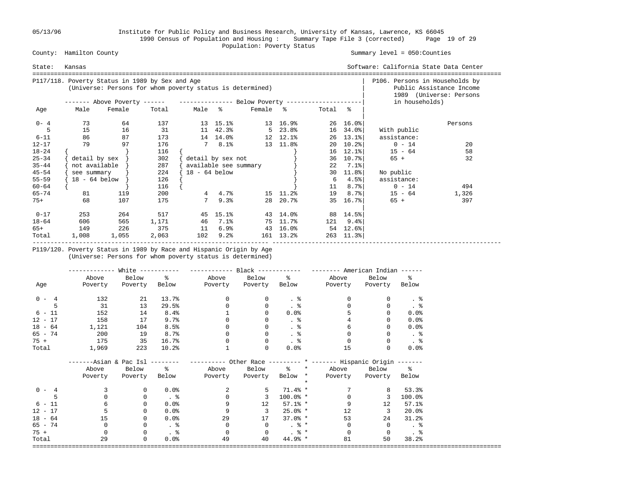05/13/96 Institute for Public Policy and Business Research, University of Kansas, Lawrence, KS 66045 1990 Census of Population and Housing : Summary Tape File 3 (corrected) Page 19 of 29 County: Hamilton County (2008) Population: Poverty Status County: Hamilton County

Summary level =  $050$ : Counties

| State:    | Kansas        |                                                                                                              |       |                 |                       |                   |               |         |                              | Software: California State Data Center |                                                     |
|-----------|---------------|--------------------------------------------------------------------------------------------------------------|-------|-----------------|-----------------------|-------------------|---------------|---------|------------------------------|----------------------------------------|-----------------------------------------------------|
|           |               | P117/118. Poverty Status in 1989 by Sex and Age<br>(Universe: Persons for whom poverty status is determined) |       |                 |                       |                   |               |         |                              | P106. Persons in Households by         | Public Assistance Income<br>1989 (Universe: Persons |
|           |               | ------- Above Poverty ------ ---------------- Below Poverty --------------------                             |       |                 |                       |                   |               |         |                              | in households)                         |                                                     |
| Age       | Male          | Female                                                                                                       | Total | Male %          |                       | Female %          |               | Total % |                              |                                        |                                                     |
| $0 - 4$   | 73            | 64                                                                                                           | 137   |                 | 13 15.1%              |                   | 13 16.9%      |         | $26 \quad 16.0$ <sup>8</sup> |                                        | Persons                                             |
|           | 15            | 16                                                                                                           | 31    |                 | 11 42.3%              |                   | $5\quad 23.8$ |         | 16 34.0%                     | With public                            |                                                     |
| $6 - 11$  | 86            | 87                                                                                                           | 173   |                 |                       | 14 14.0% 12 12.1% |               |         | $26$ 13.1%                   | assistance:                            |                                                     |
| $12 - 17$ | 79            | 97                                                                                                           | 176   |                 | 78.1%                 |                   | 13 11.8%      | 20      | $10.2$ $8$                   | $0 - 14$                               | 20                                                  |
| $18 - 24$ |               |                                                                                                              | 116   |                 |                       |                   |               |         | $16$ 12.1%                   | $15 - 64$                              | 58                                                  |
| $25 - 34$ | detail by sex |                                                                                                              | 302   |                 | detail by sex not     |                   |               | 36      | 10.7%                        | $65 +$                                 | 32                                                  |
| $35 - 44$ | not available |                                                                                                              | 287   |                 | available see summary |                   |               | 22      | 7.1%                         |                                        |                                                     |
| $45 - 54$ | see summary   |                                                                                                              | 224   | $18 - 64$ below |                       |                   |               | 30      | 11.8%                        | No public                              |                                                     |
| $55 - 59$ | 18 - 64 below |                                                                                                              | 126   |                 |                       |                   |               | 6       | 4.5%                         | assistance:                            |                                                     |
| $60 - 64$ |               |                                                                                                              | 116   |                 |                       |                   |               | 11      | 8.7%                         | $0 - 14$                               | 494                                                 |
| $65 - 74$ | 81            | 119                                                                                                          | 200   |                 | 4.7%                  |                   | 15 11.2%      | 19      | 8.7%                         | $15 - 64$                              | 1,326                                               |
| 75+       | 68            | 107                                                                                                          | 175   | $7^{\circ}$     | 9.3%                  |                   | 28 20.7%      | 35      | 16.7%                        | $65 +$                                 | 397                                                 |
| $0 - 17$  | 253           | 264                                                                                                          | 517   |                 | 45 15.1%              |                   | 43 14.0%      |         | 88 14.5%                     |                                        |                                                     |
| $18 - 64$ | 606           | 565                                                                                                          | 1,171 | 46              | $7.1\%$               |                   | 75 11.7%      | 121     | $9.4\%$                      |                                        |                                                     |
| 65+       | 149           | 226                                                                                                          | 375   | 11              | 6.9%                  |                   | 43 16.0%      |         | 54 12.6%                     |                                        |                                                     |
| Total     | 1,008         | 1,055                                                                                                        | 2,063 | 102             | 9.2%                  |                   | 161 13.2%     |         | $263$ 11.3%                  |                                        |                                                     |

 P119/120. Poverty Status in 1989 by Race and Hispanic Origin by Age (Universe: Persons for whom poverty status is determined)

|           | ----------- | White $-----$   |                 |                                                                                                |                |                             | $------$ American Indian $---$ |                       |                      |
|-----------|-------------|-----------------|-----------------|------------------------------------------------------------------------------------------------|----------------|-----------------------------|--------------------------------|-----------------------|----------------------|
|           | Above       | Below %         |                 |                                                                                                | Above Below %  |                             | Above                          | Below                 | $\epsilon$           |
| Age       | Poverty     | Poverty         |                 | Below Poverty Poverty Below                                                                    |                |                             |                                | Poverty Poverty Below |                      |
| $0 - 4$   | 132         | 21              | 13.7%           | $\mathbf{0}$                                                                                   | 0              | . %                         | 0                              | 0                     |                      |
| 5         | 31          | 13              | 29.5%           | 0                                                                                              | 0              | $. \circ$                   |                                | $\mathbf{0}$          | . $\frac{6}{6}$      |
| $6 - 11$  | 152         | 14              | 8.4%            |                                                                                                | $\Omega$       | 0.0%                        |                                | 0                     | 0.0%                 |
| $12 - 17$ | 158         | 17              | 9.7%            |                                                                                                |                | $\frac{8}{3}$               |                                |                       | 0.0%                 |
| $18 - 64$ | 1,121       | 104             | 8.5%            |                                                                                                | $\Omega$       | $\frac{8}{3}$               |                                |                       | 0.0%                 |
| $65 - 74$ | 200         | 19              | 8.7%            |                                                                                                |                |                             |                                |                       | . 응                  |
| $75 +$    | 175         | 35              | 16.7%           |                                                                                                | $\Omega$       | $. \circ$                   | $\Omega$                       |                       | $\frac{8}{3}$        |
| Total     | 1,969       | 223             | 10.2%           |                                                                                                | 0              | 0.0%                        | 15                             |                       | 0.0%                 |
|           |             |                 |                 | -----Asian & Pac Isl -------- ---------- Other Race --------- * ------- Hispanic Origin ------ |                |                             |                                |                       |                      |
|           | Above       | Below %         |                 |                                                                                                |                |                             | Above Below % * Above Below %  |                       |                      |
|           |             | Poverty Poverty |                 | Below Poverty                                                                                  | Poverty        | Below *                     | Poverty                        | Poverty Below         |                      |
|           |             |                 |                 |                                                                                                |                | $\star$                     |                                |                       |                      |
| $0 - 4$   |             | $\mathbf{0}$    | 0.0%            | $\overline{2}$                                                                                 | 5              | 71.4% *                     |                                | 8                     | 53.3%                |
| 5         | $\Omega$    | $\mathbf 0$     |                 | $\mathbf 0$                                                                                    | 3              | $100.0%$ *                  | 0                              | 3                     | 100.0%               |
| $6 - 11$  | 6           | $\mathbf 0$     | 0.0%            | 9                                                                                              | 12             | $57.1%$ *                   | 9                              | 12                    | 57.1%                |
| $12 - 17$ |             | 0               | 0.0%            | 9                                                                                              | $\overline{3}$ | $25.0%$ *                   | 12                             | $\overline{3}$        | 20.0%                |
| $18 - 64$ | 15          | 0               | 0.0%            | 29                                                                                             | 17             | $37.0\%$ *                  | 53                             | 24                    | 31.2%                |
| 65 - 74   | 0           | 0               |                 | $\mathbf{0}$                                                                                   | $\overline{0}$ | $.8*$                       | 0                              | $\mathbf{0}$          | $\ddot{\phantom{1}}$ |
| $75 +$    | $\Omega$    | $\mathbf 0$     | $\frac{8}{100}$ | $\mathbf 0$                                                                                    | $\Omega$       | $\frac{1}{2}$ $\frac{1}{2}$ | $\Omega$                       | $\Omega$              | . $\frac{6}{6}$      |
| Total     | 29          | $\mathbf 0$     | 0.0%            | 49                                                                                             | 40             | $44.9%*$                    | 81                             | 50                    | 38.2%                |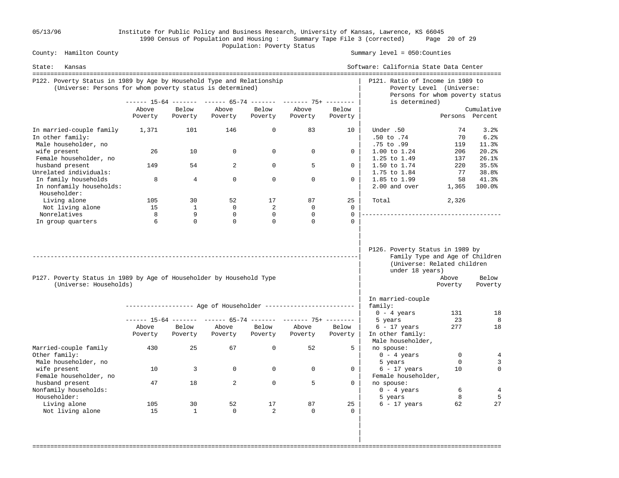05/13/96 Institute for Public Policy and Business Research, University of Kansas, Lawrence, KS 66045 1990 Census of Population and Housing : Summary Tape File 3 (corrected) Page 20 of 29 County: Hamilton County (2008) Population: Poverty Status County: Hamilton County

Summary level =  $050$ : Counties

| State:<br>Kansas                                                                                                                    |                  |                  |                  |                  |                                                                |                  | Software: California State Data Center                                                                               |                  |                       |
|-------------------------------------------------------------------------------------------------------------------------------------|------------------|------------------|------------------|------------------|----------------------------------------------------------------|------------------|----------------------------------------------------------------------------------------------------------------------|------------------|-----------------------|
| P122. Poverty Status in 1989 by Age by Household Type and Relationship<br>(Universe: Persons for whom poverty status is determined) |                  |                  |                  |                  |                                                                |                  | P121. Ratio of Income in 1989 to<br>Poverty Level (Universe:<br>Persons for whom poverty status                      |                  |                       |
|                                                                                                                                     |                  |                  |                  |                  | ------ 15-64 ------- ------ 65-74 ------- ------- 75+ -------- |                  | is determined)                                                                                                       |                  |                       |
|                                                                                                                                     | Above            | Below            | Above            | Below            | Above                                                          | Below            |                                                                                                                      |                  | Cumulative            |
|                                                                                                                                     | Poverty          | Poverty          | Poverty          | Poverty          | Poverty                                                        | Poverty          |                                                                                                                      |                  | Persons Percent       |
| In married-couple family<br>In other family:<br>Male householder, no                                                                | 1,371            | 101              | 146              | $\mathbf 0$      | 83                                                             | 10               | Under .50<br>.50 to .74<br>.75 to .99                                                                                | 74<br>70<br>119  | 3.2%<br>6.2%<br>11.3% |
| wife present<br>Female householder, no                                                                                              | 26               | 10               | 0                | $\mathbf 0$      | $\mathbf 0$                                                    | 0                | 1.00 to 1.24<br>1.25 to 1.49                                                                                         | 206<br>137       | 20.2%<br>26.1%        |
| husband present<br>Unrelated individuals:                                                                                           | 149              | 54               | $\overline{a}$   | $\Omega$         | 5                                                              | 0                | 1.50 to 1.74<br>1.75 to 1.84                                                                                         | 220<br>77        | 35.5%<br>38.8%        |
| In family households<br>In nonfamily households:<br>Householder:                                                                    | 8                | $\overline{4}$   | $\mathbf 0$      | $\mathbf 0$      | $\mathbf 0$                                                    | $\mathbf 0$      | 1.85 to 1.99<br>2.00 and over                                                                                        | 58<br>1,365      | 41.3%<br>100.0%       |
| Living alone                                                                                                                        | 105              | 30               | 52               | 17               | 87                                                             | 25               | Total                                                                                                                | 2,326            |                       |
| Not living alone                                                                                                                    | 15               | 1                | $\mathbf{0}$     | 2                | $\mathbf 0$                                                    | $\Omega$         |                                                                                                                      |                  |                       |
| Nonrelatives                                                                                                                        | 8                | 9                | $\Omega$         | $\Omega$         | $\Omega$                                                       | $\Omega$         |                                                                                                                      |                  |                       |
| In group quarters                                                                                                                   | 6                | $\Omega$         | $\Omega$         | $\Omega$         | $\Omega$                                                       | $\Omega$         |                                                                                                                      |                  |                       |
| P127. Poverty Status in 1989 by Age of Householder by Household Type<br>(Universe: Households)                                      |                  |                  |                  |                  |                                                                |                  | P126. Poverty Status in 1989 by<br>Family Type and Age of Children<br>(Universe: Related children<br>under 18 years) | Above<br>Poverty | Below<br>Poverty      |
|                                                                                                                                     |                  |                  |                  |                  | ------------------ Age of Householder ------------------------ |                  | In married-couple<br>family:                                                                                         |                  |                       |
|                                                                                                                                     |                  |                  |                  |                  |                                                                |                  | $0 - 4$ years                                                                                                        | 131              | 18                    |
|                                                                                                                                     |                  |                  |                  |                  | ------ 15-64 ------- ------ 65-74 ------- ------- 75+ -------- |                  | 5 years                                                                                                              | 23               | 8                     |
|                                                                                                                                     | Above<br>Poverty | Below<br>Poverty | Above<br>Poverty | Below<br>Poverty | Above<br>Poverty                                               | Below<br>Poverty | $6 - 17$ years<br>In other family:<br>Male householder,                                                              | 277              | 18                    |
| Married-couple family<br>Other family:                                                                                              | 430              | 25               | 67               | $\mathbf 0$      | 52                                                             | 5                | no spouse:<br>$0 - 4$ years                                                                                          | $\mathbf 0$      | 4                     |
| Male householder, no<br>wife present<br>Female householder, no                                                                      | 10               | 3                | $\mathbf 0$      | $\mathbf 0$      | $\mathbf 0$                                                    | 0                | 5 years<br>$6 - 17$ years<br>Female householder,                                                                     | $\Omega$<br>10   | 3<br>$\mathbf{0}$     |
| husband present<br>Nonfamily households:                                                                                            | 47               | 18               | $\overline{a}$   | $\mathbf 0$      | 5                                                              | $\Omega$         | no spouse:<br>$0 - 4 \text{ years}$                                                                                  | 6                | 4                     |
| Householder:<br>Living alone                                                                                                        | 105              | 30               | 52               | 17               | 87                                                             | 25               | 5 years                                                                                                              | 8<br>62          | 5<br>27               |
| Not living alone                                                                                                                    | 15               | $\mathbf{1}$     | $\mathbf 0$      | $\mathfrak{D}$   | $\Omega$                                                       | $\Omega$         | $6 - 17$ years                                                                                                       |                  |                       |

===================================================================================================================================

 | | |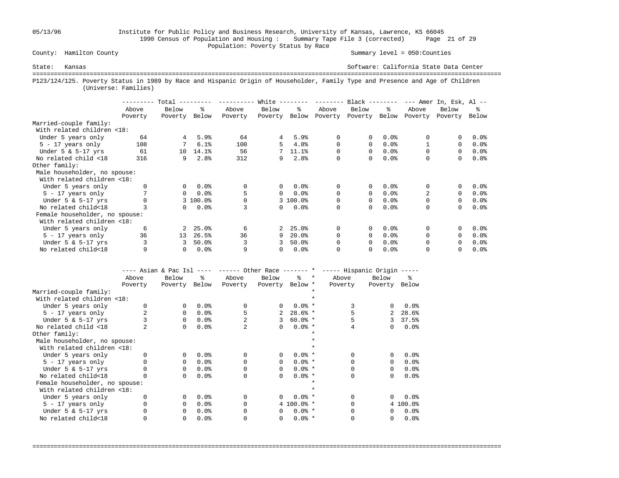05/13/96 Institute for Public Policy and Business Research, University of Kansas, Lawrence, KS 66045 1990 Census of Population and Housing : Summary Tape File 3 (corrected) Page 21 of 29 Population: Poverty Status by Race<br>
County: Hamilton County

Summary level =  $050$ : Counties

State: Kansas Software: California State Data Center =================================================================================================================================== P123/124/125. Poverty Status in 1989 by Race and Hispanic Origin of Householder, Family Type and Presence and Age of Children (Universe: Families)

|                                |         | Total    |          |         | White       |          | ---------    | $Black$ -------- |         |          | $---$ Amer In, Esk, Al $---$ |         |
|--------------------------------|---------|----------|----------|---------|-------------|----------|--------------|------------------|---------|----------|------------------------------|---------|
|                                | Above   | Below    | ዱ        | Above   | Below       | ዱ        | Above        | Below            | ႜ       | Above    | Below                        | ፠       |
|                                | Poverty | Poverty  | Below    | Poverty | Poverty     | Below    | Poverty      | Poverty          | Below   | Poverty  | Poverty                      | Below   |
| Married-couple family:         |         |          |          |         |             |          |              |                  |         |          |                              |         |
| With related children <18:     |         |          |          |         |             |          |              |                  |         |          |                              |         |
| Under 5 years only             | 64      | 4        | 5.9%     | 64      | 4           | 5.9%     | 0            | 0                | 0.0%    | 0        |                              | 0.0%    |
| $5 - 17$ years only            | 108     |          | 6.1%     | 100     | 5.          | 4.8%     | 0            | $\Omega$         | 0.0%    |          | $\Omega$                     | $0.0$ % |
| Under $5 \& 5-17$ yrs          | 61      | 10       | 14.1%    | 56      |             | 11.1%    | 0            | 0                | 0.0%    |          | $\Omega$                     | $0.0$ % |
| No related child <18           | 316     | 9        | 2.8%     | 312     | 9           | 2.8%     | 0            | 0                | 0.0%    | 0        | 0                            | 0.0%    |
| Other family:                  |         |          |          |         |             |          |              |                  |         |          |                              |         |
| Male householder, no spouse:   |         |          |          |         |             |          |              |                  |         |          |                              |         |
| With related children <18:     |         |          |          |         |             |          |              |                  |         |          |                              |         |
| Under 5 years only             |         | $\Omega$ | 0.0%     | 0       | $\Omega$    | 0.0%     | $\Omega$     | 0                | $0.0$ % | 0        | 0                            | 0.0%    |
| $5 - 17$ years only            |         | $\Omega$ | 0.0%     | 5       | $\Omega$    | $0.0$ %  | 0            | $\Omega$         | 0.0%    | 2        | $\Omega$                     | $0.0$ % |
| Under $5 \& 5-17$ yrs          |         |          | 3 100.0% |         |             | 3 100.0% | 0            | 0                | 0.0%    | 0        | $\Omega$                     | $0.0$ % |
| No related child<18            |         | 0        | 0.0%     |         | $\Omega$    | 0.0%     | $\Omega$     | 0                | 0.0%    | $\Omega$ | $\Omega$                     | 0.0%    |
| Female householder, no spouse: |         |          |          |         |             |          |              |                  |         |          |                              |         |
| With related children <18:     |         |          |          |         |             |          |              |                  |         |          |                              |         |
| Under 5 years only             | 6       | 2        | 25.0%    | 6       | $2^{\circ}$ | 25.0%    | 0            | 0                | 0.0%    | $\Omega$ |                              | 0.0%    |
| $5 - 17$ years only            | 36      | 13       | 26.5%    | 36      | 9           | 20.0%    | <sup>0</sup> | 0                | 0.0%    |          | $\Omega$                     | $0.0$ % |
| Under $5 \& 5-17$ yrs          | 3       | 3        | 50.0%    |         | 3           | 50.0%    |              | 0                | 0.0%    | $\Omega$ | $\Omega$                     | 0.0%    |
| No related child<18            | 9       | 0        | 0.0%     | 9       | 0           | 0.0%     |              | 0                | 0.0%    |          |                              | $0.0$ % |

|                                | ---- Asian & Pac Isl |          | $- - - - -$ | $----$ Other Race $----$ * |                 |              |         | ----- Hispanic Origin ----- |              |          |
|--------------------------------|----------------------|----------|-------------|----------------------------|-----------------|--------------|---------|-----------------------------|--------------|----------|
|                                | Above                | Below    | °≈          | Above                      | Below           | °≈           | $\star$ | Above                       | Below        | ႜ        |
|                                | Poverty              | Poverty  | Below       | Poverty                    | Poverty Below * |              |         | Poverty                     | Poverty      | Below    |
| Married-couple family:         |                      |          |             |                            |                 |              |         |                             |              |          |
| With related children <18:     |                      |          |             |                            |                 |              |         |                             |              |          |
| Under 5 years only             |                      | $\Omega$ | 0.0%        | $\Omega$                   | $\Omega$        | $0.0%$ *     |         | 3                           | 0            | 0.0%     |
| $5 - 17$ years only            |                      | $\Omega$ | 0.0%        | 5                          | 2               | $28.6%$ *    |         |                             | 2            | 28.6%    |
| Under $5 \& 5-17$ yrs          |                      | $\Omega$ | 0.0%        |                            | 3               | $60.0%$ *    |         |                             | 3            | 37.5%    |
| No related child <18           |                      | 0        | 0.0%        |                            | $\Omega$        | $0.0%$ *     |         |                             | 0            | 0.0%     |
| Other family:                  |                      |          |             |                            |                 |              |         |                             |              |          |
| Male householder, no spouse:   |                      |          |             |                            |                 |              |         |                             |              |          |
| With related children <18:     |                      |          |             |                            |                 |              |         |                             |              |          |
| Under 5 years only             |                      | $\Omega$ | 0.0%        |                            | $\Omega$        | $0.0%$ *     |         |                             | <sup>0</sup> | 0.0%     |
| $5 - 17$ years only            |                      | $\Omega$ | 0.0%        |                            | $\Omega$        | $0.0%$ *     |         |                             | 0            | 0.0%     |
| Under $5 \& 5-17$ yrs          |                      | $\Omega$ | 0.0%        |                            | $\Omega$        | $0.0%$ *     |         |                             | 0            | 0.0%     |
| No related child<18            |                      | $\Omega$ | 0.0%        | $\Omega$                   | $\Omega$        | $0.0%$ *     |         | U                           | 0            | 0.0%     |
| Female householder, no spouse: |                      |          |             |                            |                 |              |         |                             |              |          |
| With related children <18:     |                      |          |             |                            |                 |              |         |                             |              |          |
| Under 5 years only             |                      | $\Omega$ | 0.0%        |                            | $\Omega$        | $0.0%$ *     |         |                             | 0            | 0.0%     |
| $5 - 17$ years only            |                      | $\Omega$ | 0.0%        |                            |                 | $4 100.0%$ * |         |                             |              | 4 100.0% |
| Under $5 \& 5-17$ yrs          |                      | $\Omega$ | 0.0%        |                            | $\Omega$        | $0.0%$ *     |         |                             | 0            | 0.0%     |
| No related child<18            |                      | 0        | 0.0%        |                            | 0               | $0.0%$ *     |         |                             | 0            | 0.0%     |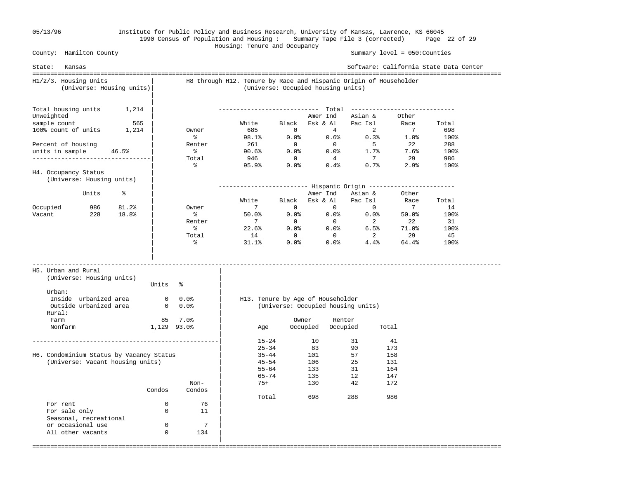All other vacants 0 134 |

#### 05/13/96 Institute for Public Policy and Business Research, University of Kansas, Lawrence, KS 66045 1990 Census of Population and Housing : Summary Tape File 3 (corrected) Page 22 of 29 Housing: Tenure and Occupancy

 County: Hamilton County Summary level = 050:Counties State: Kansas Software: California State Data Center =================================================================================================================================== H1/2/3. Housing Units | H8 through H12. Tenure by Race and Hispanic Origin of Householder (Universe: Housing units)| (Universe: Occupied housing units) | Total housing units  $1,214$  | Total housing units 1,214 | ---------------------------- Total ----------------------------- Unweighted  $\begin{array}{c|cccc}\n\text{Unweighted} & & & \\
\end{array}$  ample count 565 | White Black Esk & Al Pac Isl Race sample count 565 | Sample count 565 | White Black Esk & Al Pac Isl Race Total Race 70tal Race 70tal Pac Isl Race 70tal Race 70tal Race 70tal Race 70tal Race 70tal Race 70tal Race 70tal Race 70tal Race 70tal Race 70tal Race 100% count of units 1,214 | Owner 685 0 4 2 7 698  $\sim$  8 98.1% 0.0% 0.6% 0.3% 1.0% 100% Percent of housing  $\vert$  Renter 261 0 0 5 22 288 units in sample 46.5% | % 90.6% 0.0% 0.0% 1.7% 7.6% 100% ---------------------------------| Total 946 0 4 7 29 986  $\frac{1}{2}$  ,  $\frac{1}{2}$  ,  $\frac{1}{2}$  ,  $\frac{1}{2}$  ,  $\frac{1}{2}$  ,  $\frac{1}{2}$  ,  $\frac{1}{2}$  ,  $\frac{1}{2}$  ,  $\frac{1}{2}$  ,  $\frac{1}{2}$  ,  $\frac{1}{2}$  ,  $\frac{1}{2}$  ,  $\frac{1}{2}$  ,  $\frac{1}{2}$  ,  $\frac{1}{2}$  ,  $\frac{1}{2}$  ,  $\frac{1}{2}$  ,  $\frac{1}{2}$  ,  $\frac{1$ H4. Occupancy Status (Universe: Housing units) | | ------------------------- Hispanic Origin ------------------------ Units % | Amer Ind Asian & Other | White Black Esk & Al Pac Isl Race Total Occupied 986 81.2% | Owner 7 0 0 0 7 14 Vacant 228 18.8% | % 50.0% 0.0% 0.0% 0.0% 50.0% 100% | Renter 7 0 0 2 22 31  $\sim$  8 22.6% 0.0% 0.0% 6.5% 71.0% 100% | Total 14 0 0 2 29 45 | % 31.1% 0.0% 0.0% 4.4% 64.4% 100% | | ----------------------------------------------------------------------------------------------------------------------------------- H5. Urban and Rural | (Universe: Housing units) | Units % Urban:  $\qquad \qquad \blacksquare$  Inside urbanized area 0 0.0% | H13. Tenure by Age of Householder Outside urbanized area 0 0.0% | (Universe: Occupied housing units) Rural: Farm 85 7.0% | Owner Renter Nonfarm 1,129 93.0% | Age Occupied Occupied Total | ----------------------------------------------------| 15-24 10 31 41  $\begin{array}{|c|c|c|c|c|}\n\hline\n\text{25--34} & \text{83} & \text{90} & \text{173}\n\end{array}$ H6. Condominium Status by Vacancy Status | 35-44 101 57 158 (Universe: Vacant housing units)  $\begin{array}{ccc} | & 45-54 & 106 & 25 & 131 \\ | & 45-54 & 133 & 31 & 164 \end{array}$  $|$  55-64 133 31 164  $|$  65-74 135 12 147 Non- | 75+ 130 42 172 Condos Condos | | Total 698 288 986 For rent 0 76<br>For sale only 0 11 For sale only 0 11 | Seasonal, recreational<br>
or occasional use 0 0 7 or occasional use 0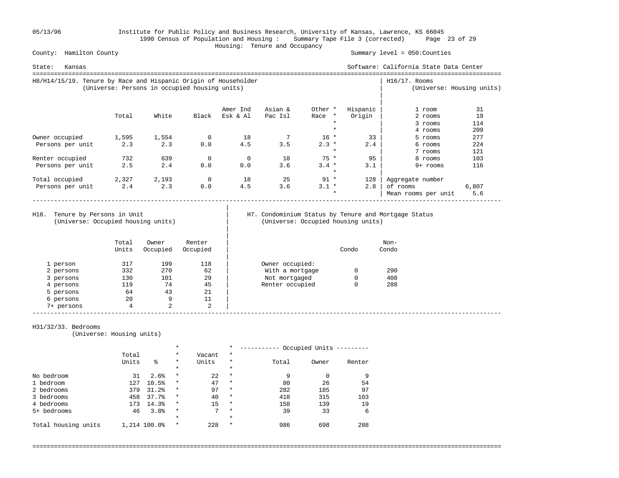05/13/96 Institute for Public Policy and Business Research, University of Kansas, Lawrence, KS 66045 1990 Census of Population and Housing : Summary Tape File 3 (corrected) Page 23 of 29 County: Hamilton County<br>
County: Hamilton County

Summary level =  $050$ : Counties

| Kansas<br>State:                                                |                                               |       |       |          |         |                    |          | Software: California State Data Center |                           |
|-----------------------------------------------------------------|-----------------------------------------------|-------|-------|----------|---------|--------------------|----------|----------------------------------------|---------------------------|
| H8/H14/15/19. Tenure by Race and Hispanic Origin of Householder | (Universe: Persons in occupied housing units) |       |       |          |         |                    |          | $H16/17$ . Rooms                       | (Universe: Housing units) |
|                                                                 |                                               |       |       | Amer Ind | Asian & | Other *            | Hispanic | 1 room                                 | 31                        |
|                                                                 | Total                                         | White | Black | Esk & Al | Pac Isl | Race *             | Origin   | 2 rooms                                | 19                        |
|                                                                 |                                               |       |       |          |         |                    |          | 3 rooms                                | 114                       |
|                                                                 |                                               |       |       |          |         |                    |          | 4 rooms                                | 209                       |
| Owner occupied                                                  | 1,595                                         | 1,554 | 0     | 18       |         | $16 *$             | 33       | 5 rooms                                | 277                       |
| Persons per unit                                                | 2.3                                           | 2.3   | 0.0   | 4.5      | 3.5     | $2.3 *$            | 2.4      | 6 rooms                                | 224                       |
|                                                                 |                                               |       |       |          |         | $\star$            |          | 7 rooms                                | 121                       |
| Renter occupied                                                 | 732                                           | 639   | 0     | $\Omega$ | 18      | $75 *$             | 95       | 8 rooms                                | 103                       |
| Persons per unit                                                | 2.5                                           | 2.4   | 0.0   | 0.0      | 3.6     | $3.4 *$<br>$\star$ | 3.1      | 9+ rooms                               | 116                       |
| Total occupied                                                  | 2,327                                         | 2,193 | 0     | 18       | 25      | $91 *$             | 128      | Aggregate number                       |                           |
| Persons per unit                                                | 2.4                                           | 2.3   | 0.0   | 4.5      | 3.6     | $3.1 *$            | 2.8      | of rooms                               | 6,807                     |
|                                                                 |                                               |       |       |          |         | $\star$            |          | Mean rooms per unit                    | 5.6                       |

(Universe: Occupied housing units) | (Universe: Occupied housing units)

|

|

# H18. Tenure by Persons in Unit | H7. Condominium Status by Tenure and Mortgage Status (Universe: Occupied housing units)

|            | Total<br>Units | Owner<br>Occupied | Renter<br>Occupied |                 | Condo    | Non-<br>Condo |  |
|------------|----------------|-------------------|--------------------|-----------------|----------|---------------|--|
| 1 person   | 317            | 199               | 118                | Owner occupied: |          |               |  |
| 2 persons  | 332            | 270               | 62                 | With a mortgage | $\Omega$ | 290           |  |
| 3 persons  | 130            | 101               | 29                 | Not mortgaged   | 0        | 408           |  |
| 4 persons  | 119            | 74                | 45                 | Renter occupied | 0        | 288           |  |
| 5 persons  | 64             | 43                | 21                 |                 |          |               |  |
| 6 persons  | 20             | 9                 | 11                 |                 |          |               |  |
| 7+ persons | 4              | 2                 | 2                  |                 |          |               |  |

===================================================================================================================================

#### H31/32/33. Bedrooms

(Universe: Housing units)

|                     |       |              | $\star$  |        | $\star$ |       | Occupied Units |        |  |
|---------------------|-------|--------------|----------|--------|---------|-------|----------------|--------|--|
|                     | Total |              | $\ast$   | Vacant | $\ast$  |       |                |        |  |
|                     | Units | る            | $^\star$ | Units  | $\star$ | Total | Owner          | Renter |  |
|                     |       |              | $^\star$ |        | $\star$ |       |                |        |  |
| No bedroom          | 31    | 2.6%         | $\star$  | 22     | $\star$ | 9     | 0              |        |  |
| 1 bedroom           | 127   | 10.5%        | $\star$  | 47     | $\ast$  | 80    | 26             | 54     |  |
| 2 bedrooms          | 379   | 31.2%        | $\star$  | 97     | $\ast$  | 282   | 185            | 97     |  |
| 3 bedrooms          | 458   | 37.7%        | $\star$  | 40     | $\star$ | 418   | 315            | 103    |  |
| 4 bedrooms          | 173   | 14.3%        | $\star$  | 15     | $\star$ | 158   | 139            | 19     |  |
| 5+ bedrooms         | 46    | 3.8%         | $\star$  | 7      | $\star$ | 39    | 33             | 6      |  |
|                     |       |              | $\star$  |        | $\star$ |       |                |        |  |
| Total housing units |       | 1,214 100.0% | $\star$  | 228    | $\star$ | 986   | 698            | 288    |  |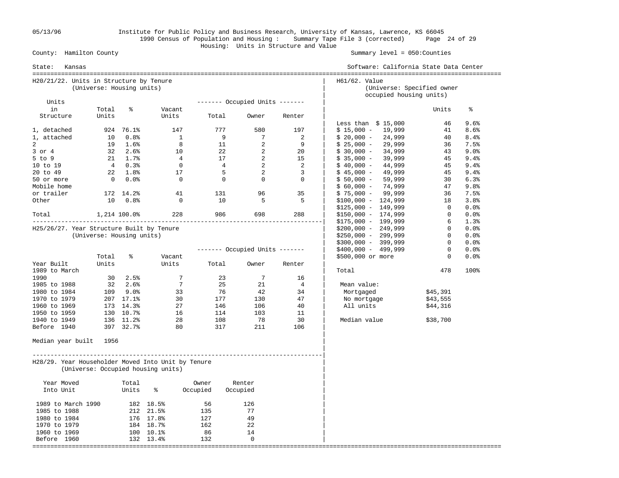05/13/96 Institute for Public Policy and Business Research, University of Kansas, Lawrence, KS 66045 1990 Census of Population and Housing : Summary Tape File 3 (corrected) Page 24 of 29 Housing: Units in Structure and Value

| State:<br>Kansas                                   |                           |                  |                                    | Software: California State Data Center |                                |                |                                                                        |                |      |
|----------------------------------------------------|---------------------------|------------------|------------------------------------|----------------------------------------|--------------------------------|----------------|------------------------------------------------------------------------|----------------|------|
| H20/21/22. Units in Structure by Tenure            | (Universe: Housing units) |                  |                                    |                                        |                                |                | H61/62. Value<br>(Universe: Specified owner<br>occupied housing units) |                |      |
| Units                                              |                           |                  |                                    |                                        | $------$ Occupied Units $---$  |                |                                                                        |                |      |
| in                                                 | Total                     | နွ               | Vacant                             |                                        |                                |                |                                                                        | Units          | နွ   |
| Structure                                          | Units                     |                  | Units                              | Total                                  | Owner                          | Renter         | Less than $$15,000$                                                    | 46             | 9.6% |
| 1, detached                                        |                           | 924 76.1%        | 147                                | 777                                    | 580                            | 197            | $$15,000 - 19,999$                                                     | 41             | 8.6% |
| 1, attached                                        | 10                        | 0.8%             | $\overline{1}$                     | 9                                      | 7                              | 2              | $$20,000 -$<br>24,999                                                  | 40             | 8.4% |
| 2                                                  |                           | 19 1.6%          | 8                                  | 11                                     | 2                              | 9              | $$25,000 -$<br>29,999                                                  | 36             | 7.5% |
| $3$ or $4$                                         |                           | $32 \quad 2.6\%$ | 10                                 | 22                                     | 2                              | 20             | $$30,000 -$<br>34,999                                                  | 43             | 9.0% |
| 5 to 9                                             |                           | $21 \t 1.7$ %    | $\overline{4}$                     | 17                                     | $\overline{\phantom{0}}^2$     | 15             | $$35,000 -$<br>39,999                                                  | 45             | 9.4% |
| 10 to 19                                           |                           | 40.3%            | $\overline{0}$                     | $\overline{4}$                         | $\overline{2}$                 | 2              | 44,999<br>$$40,000 -$                                                  | 45             | 9.4% |
| 20 to 49                                           |                           | 22 1.8%          | 17                                 | 5                                      | 2                              | $\overline{3}$ | 49,999<br>$$45,000 -$                                                  | 45             | 9.4% |
| 50 or more                                         |                           | $0.0$ %          | $\overline{0}$                     | $\overline{0}$                         | $\overline{0}$                 | $\overline{0}$ | $$50,000 -$<br>59,999                                                  | 30             | 6.3% |
| Mobile home                                        |                           |                  |                                    |                                        |                                |                | 74,999<br>$$60,000 -$                                                  | 47             | 9.8% |
| or trailer                                         |                           | 172 14.2%        | 41                                 | 131                                    | 96                             | 35             | $$75,000 - 99,999$                                                     | 36             | 7.5% |
| Other                                              | 10                        | 0.8%             | $\overline{0}$                     | 10                                     | 5                              | 5              | $$100,000 - 124,999$                                                   | 18             | 3.8% |
|                                                    |                           |                  |                                    |                                        |                                |                | $$125,000 - 149,999$                                                   | $\overline{0}$ | 0.0% |
| Total 1,214 100.0%                                 |                           |                  | 228                                |                                        | 986 1990<br>698                | 288            | $$150,000 - 174,999$                                                   | $\overline{0}$ | 0.0% |
|                                                    |                           |                  |                                    |                                        |                                |                | $$175,000 - 199,999$                                                   | 6              | 1.3% |
| H25/26/27. Year Structure Built by Tenure          |                           |                  |                                    |                                        |                                |                | $$200,000 - 249,999$                                                   | $\overline{0}$ | 0.0% |
|                                                    | (Universe: Housing units) |                  |                                    |                                        |                                |                | $$250,000 - 299,999$                                                   | $\mathbf{0}$   | 0.0% |
|                                                    |                           |                  |                                    |                                        |                                |                | $$300,000 - 399,999$                                                   | $\overline{0}$ | 0.0% |
|                                                    |                           |                  |                                    |                                        | ------- Occupied Units ------- |                | \$400,000 - 499,999                                                    | $\mathbf{0}$   | 0.0% |
|                                                    | Total                     | နွ               | Vacant                             |                                        |                                |                | \$500,000 or more                                                      | $\mathbf{0}$   | 0.0% |
| Year Built                                         | Units                     |                  | Units                              | Total                                  | Owner                          | Renter         |                                                                        |                |      |
| 1989 to March                                      |                           |                  |                                    |                                        |                                |                | Total                                                                  | 478            | 100% |
| 1990                                               |                           | $30 \quad 2.5\%$ | 7                                  | 23                                     | 7                              | 16             |                                                                        |                |      |
| 1985 to 1988                                       |                           | $32 \quad 2.6\%$ | $7\overline{ }$                    | 25                                     | 21                             | 4              | Mean value:                                                            |                |      |
| 1980 to 1984                                       |                           | 109 9.0%         | 33                                 | 76                                     | 42                             | 34             | Mortgaged                                                              | \$45,391       |      |
| 1970 to 1979                                       |                           | 207 17.1%        | 30                                 | 177                                    | 130                            | 47             | No mortgage                                                            | \$43,555       |      |
| 1960 to 1969                                       |                           | 173 14.3%        | 27                                 | 146                                    | 106                            | 40             | All units                                                              |                |      |
|                                                    |                           |                  | 16                                 | 114                                    | 103                            | 11             |                                                                        | \$44,316       |      |
| 1950 to 1959                                       |                           | 130 10.7%        |                                    |                                        |                                |                |                                                                        |                |      |
| 1940 to 1949                                       |                           | 136 11.2%        | 28                                 | 108                                    | 78                             | 30             | Median value                                                           | \$38,700       |      |
| Before 1940                                        |                           | 397 32.7%        | 80                                 | 317                                    | 211                            | 106            |                                                                        |                |      |
| Median year built 1956                             |                           |                  |                                    |                                        |                                |                |                                                                        |                |      |
| H28/29. Year Householder Moved Into Unit by Tenure |                           |                  | (Universe: Occupied housing units) |                                        |                                |                |                                                                        |                |      |
| Year Moved                                         |                           | Total            |                                    | Owner                                  | Renter                         |                |                                                                        |                |      |
| Into Unit                                          |                           | Units            | နွ                                 | Occupied                               | Occupied                       |                |                                                                        |                |      |
| 1989 to March 1990                                 |                           |                  | 182 18.5%                          | 56                                     | 126                            |                |                                                                        |                |      |
| 1985 to 1988                                       |                           |                  | 212 21.5%                          | 135                                    | 77                             |                |                                                                        |                |      |
| 1980 to 1984                                       |                           |                  | 176 17.8%                          | 127                                    | 49                             |                |                                                                        |                |      |
| 1970 to 1979                                       |                           |                  | 184 18.7%                          | 162                                    | 22                             |                |                                                                        |                |      |
| 1960 to 1969                                       |                           |                  | 100 10.1%                          | 86                                     | 14                             |                |                                                                        |                |      |
| Before 1960                                        |                           |                  | 132 13.4%                          | 132                                    | $\mathbf 0$                    |                |                                                                        |                |      |
|                                                    |                           |                  |                                    |                                        |                                |                |                                                                        |                |      |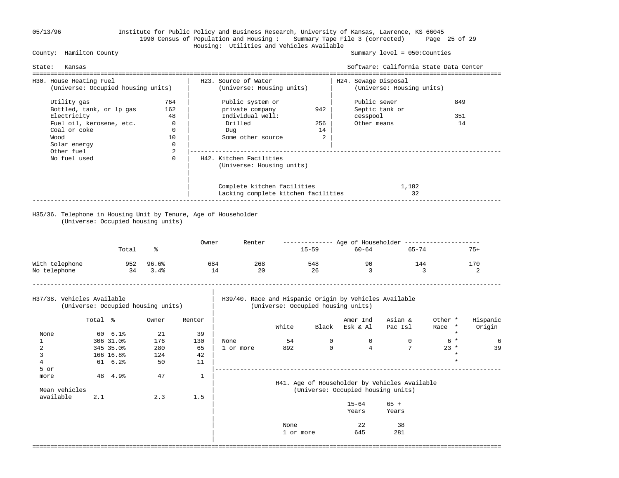#### 05/13/96 Institute for Public Policy and Business Research, University of Kansas, Lawrence, KS 66045 1990 Census of Population and Housing : Summary Tape File 3 (corrected) Page 25 of 29 Housing: Utilities and Vehicles Available

Summary level =  $050$ : Counties

| State:                         | Kansas                                                                                                                                                         |                                    |                                    |              |                                                                                                |                   |                       |                                         | Software: California State Data Center                         |                   |                    |
|--------------------------------|----------------------------------------------------------------------------------------------------------------------------------------------------------------|------------------------------------|------------------------------------|--------------|------------------------------------------------------------------------------------------------|-------------------|-----------------------|-----------------------------------------|----------------------------------------------------------------|-------------------|--------------------|
| H30. House Heating Fuel        |                                                                                                                                                                | (Universe: Occupied housing units) |                                    |              | H23. Source of Water<br>(Universe: Housing units)                                              |                   |                       | H24. Sewage Disposal                    | (Universe: Housing units)                                      |                   |                    |
| Wood                           | Utility gas<br>764<br>Bottled, tank, or lp gas<br>162<br>Electricity<br>Fuel oil, kerosene, etc.<br>Coal or coke<br>Solar energy<br>Other fuel<br>No fuel used |                                    |                                    |              | Public system or<br>private company<br>Individual well:<br>Drilled<br>Dug<br>Some other source |                   | 942<br>256<br>14<br>2 | Public sewer<br>cesspool<br>Other means | Septic tank or                                                 | 849<br>351<br>14  |                    |
|                                |                                                                                                                                                                |                                    | 2<br>$\Omega$                      |              | H42. Kitchen Facilities<br>(Universe: Housing units)                                           |                   |                       |                                         |                                                                |                   |                    |
|                                |                                                                                                                                                                |                                    |                                    |              | Complete kitchen facilities<br>Lacking complete kitchen facilities                             |                   |                       |                                         | 1,182<br>32                                                    |                   |                    |
|                                |                                                                                                                                                                |                                    | (Universe: Occupied housing units) |              | H35/36. Telephone in Housing Unit by Tenure, Age of Householder                                |                   |                       |                                         |                                                                |                   |                    |
|                                |                                                                                                                                                                | Total                              | နွ                                 | Owner        | Renter                                                                                         |                   | 15-59                 | $60 - 64$                               | ------------- Age of Householder --------------------<br>65-74 |                   | $75+$              |
| With telephone<br>No telephone |                                                                                                                                                                | 952<br>34                          | 96.6%<br>3.4%                      |              | 268<br>684<br>14<br>20                                                                         |                   | 548<br>26             | 90<br>$\overline{3}$                    | 144                                                            | $\mathcal{L}$     | 170<br>2           |
| H37/38. Vehicles Available     |                                                                                                                                                                |                                    | (Universe: Occupied housing units) |              | H39/40. Race and Hispanic Origin by Vehicles Available                                         |                   |                       | (Universe: Occupied housing units)      |                                                                |                   |                    |
|                                | Total %                                                                                                                                                        |                                    | Owner                              | Renter       |                                                                                                | White             |                       | Amer Ind<br>Black Esk & Al              | Asian &<br>Pac Isl                                             | Other *<br>Race * | Hispanic<br>Origin |
| None                           |                                                                                                                                                                | $60 \t 6.1$                        | 21                                 | 39           |                                                                                                |                   |                       |                                         |                                                                |                   |                    |
| $\mathbf{1}$                   |                                                                                                                                                                | 306 31.0%                          | 176                                | 130          | None                                                                                           | 54                | $\Omega$              | $\Omega$                                | $\Omega$                                                       | $6 *$             | 6                  |
| $\overline{a}$                 |                                                                                                                                                                | 345 35.0%                          | 280                                | 65           | 1 or more                                                                                      | 892               | $\mathbf 0$           | $4\overline{ }$                         | $7\phantom{.0}$                                                | $23 *$            | 39                 |
| 3                              |                                                                                                                                                                | 166 16.8%                          | 124                                | 42           |                                                                                                |                   |                       |                                         |                                                                | $\star$           |                    |
| 4                              |                                                                                                                                                                | 61 6.2%                            | 50                                 | 11           |                                                                                                |                   |                       |                                         |                                                                |                   |                    |
| 5 or                           |                                                                                                                                                                |                                    |                                    |              |                                                                                                |                   |                       |                                         |                                                                |                   |                    |
| more                           |                                                                                                                                                                | 48 4.9%                            | 47                                 | $\mathbf{1}$ |                                                                                                |                   |                       |                                         |                                                                |                   |                    |
|                                |                                                                                                                                                                |                                    |                                    |              |                                                                                                |                   |                       |                                         | H41. Age of Householder by Vehicles Available                  |                   |                    |
| Mean vehicles                  |                                                                                                                                                                |                                    |                                    |              |                                                                                                |                   |                       | (Universe: Occupied housing units)      |                                                                |                   |                    |
| available                      | 2.1                                                                                                                                                            |                                    | 2.3                                | 1.5          |                                                                                                |                   |                       |                                         |                                                                |                   |                    |
|                                |                                                                                                                                                                |                                    |                                    |              |                                                                                                |                   |                       | $15 - 64$<br>Years                      | $65 +$<br>Years                                                |                   |                    |
|                                |                                                                                                                                                                |                                    |                                    |              |                                                                                                | None<br>1 or more |                       | 22<br>645                               | 38<br>281                                                      |                   |                    |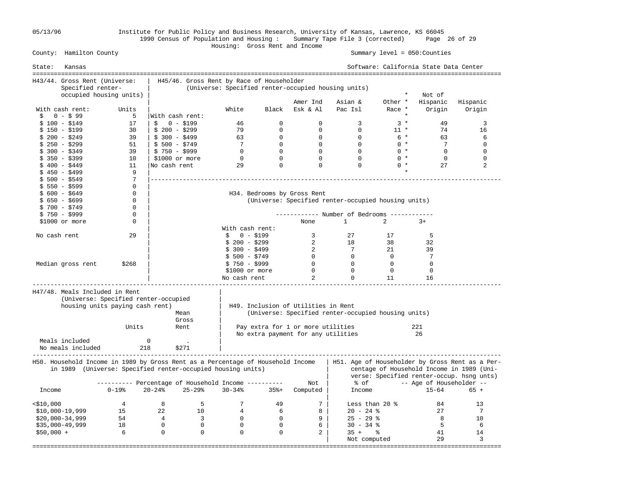05/13/96 Institute for Public Policy and Business Research, University of Kansas, Lawrence, KS 66045 1990 Census of Population and Housing : Summary Tape File 3 (corrected) Page 26 of 29

#### Housing: Gross Rent and Income County: Hamilton County Summary level = 050:Counties

State: Kansas Software: California State Data Center =================================================================================================================================== H43/44. Gross Rent (Universe: | H45/46. Gross Rent by Race of Householder Specified renter- | (Universe: Specified renter-occupied housing units) occupied housing units) | \* Not of Amer Ind Asian & Other \* Hispanic Hispanic With cash rent: Units  $\begin{array}{ccc} \mid & \text{White} & \text{Black} & \text{Esk & \text{Al} & \text{Pac Isl} & \text{Race *} & \text{Origin} & \text{Origin} \\ \text{S} & 0 - \text{S} & 99 & 5 & \text{With cash rent:} & \end{array}$  \$ 0 - \$ 99 5 |With cash rent: \*  $$100-\$149$   $17$   $$0-\$19$   $46$   $0$   $0$   $3$   $3*$   $49$   $3$  \$ 150 - \$199 30 | \$ 200 - \$299 79 0 0 0 11 \* 74 16 \$ 200 - \$249 39 | \$ 300 - \$499 63 0 0 0 6 \* 63 6 \$ 250 - \$299 51 | \$ 500 - \$749 7 0 0 0 0 \* 7 0 \$ 300 - \$349 39 | \$ 750 - \$999 0 0 0 0 0 \* 0 0 \$ 350 - \$399 10 | \$1000 or more 0 0 0 0 0 \* 0 0 \$ 400 - \$449 11 |No cash rent 29 0 0 0 0 \* 27 2  $\frac{1}{5}$  450 - \$499 9 | \* \$ 500 - \$549 7 |--------------------------------------------------------------------------------------------------  $\begin{array}{ccc} \xi & 550 & -8599 \\ \xi & 600 & -8649 \end{array}$  0 | \$ 600 - \$649 0 | H34. Bedrooms by Gross Rent \$ 650 - \$699 0 | (Universe: Specified renter-occupied housing units)<br>\$ 700 - \$749 0 |  $$700 - $749$  \$ 750 - \$999 0 | ------------ Number of Bedrooms ------------ \$1000 or more  $\begin{array}{cccc} 0 & | & | & | & | \end{array}$  None 1 2 3+ | With cash rent: No cash rent 29 | \$ 0 - \$199 3 27 17 5  $\frac{1}{3}$   $\frac{1}{2}$   $\frac{1}{2}$   $\frac{1}{2}$   $\frac{1}{2}$   $\frac{1}{2}$   $\frac{1}{2}$   $\frac{1}{2}$   $\frac{1}{2}$   $\frac{1}{2}$   $\frac{1}{2}$   $\frac{1}{2}$   $\frac{1}{2}$   $\frac{1}{2}$   $\frac{1}{2}$   $\frac{1}{2}$   $\frac{1}{2}$   $\frac{1}{2}$   $\frac{1}{2}$   $\frac{1}{2}$   $\frac{1}{2}$   $\frac{1}{2}$   $\frac{1}{3}$   $\frac{1}{3}$   $\frac{1}{3}$   $\frac{1}{3}$   $\frac{1}{3}$   $\frac{1}{3}$   $\frac{1}{3}$   $\frac{1}{3}$   $\frac{1}{3}$   $\frac{1}{3}$   $\frac{1}{3}$   $\frac{1}{3}$   $\frac{1}{3}$   $\frac{1}{3}$   $\frac{1}{3}$   $\frac{1}{3}$   $\frac{1}{3}$   $\frac{1}{3}$   $\frac{1}{3}$   $\frac{1}{3}$   $\frac{1}{3}$   $\frac{1}{3}$   $\frac{1}{5}$   $\frac{1}{5}$   $\frac{1}{5}$   $\frac{1}{5}$   $\frac{1}{2}$   $\frac{1}{2}$   $\frac{1}{2}$   $\frac{1}{2}$   $\frac{1}{2}$   $\frac{1}{2}$   $\frac{1}{2}$   $\frac{1}{2}$   $\frac{1}{2}$   $\frac{1}{2}$   $\frac{1}{2}$   $\frac{1}{2}$   $\frac{1}{2}$   $\frac{1}{2}$   $\frac{1}{2}$   $\frac{1}{2}$   $\frac{1}{2}$   $\frac{1}{2}$  Median gross rent \$268 | \$ 750 - \$999 0 0 0 0 | \$1000 or more 0 0 0 0  $\sim$  No cash rent 2 0 11 16 ----------------------------------------------------------------------------------------------------------------------------------- H47/48. Meals Included in Rent | (Universe: Specified renter-occupied | housing units paying cash rent) | H49. Inclusion of Utilities in Rent Mean | (Universe: Specified renter-occupied housing units) Gross | Units Rent | Pay extra for 1 or more utilities 221 No extra payment for any utilities 26 Meals included 0 0 No meals included 218 \$271 ----------------------------------------------------------------------------------------------------------------------------------- H50. Household Income in 1989 by Gross Rent as a Percentage of Household Income | H51. Age of Householder by Gross Rent as a Per in 1989 (Universe: Specified renter-occupied housing units) | centage of Household Income in 1989 (Uni verse: Specified renter-occup. hsng unts) ---------- Percentage of Household Income ---------- Not | % of -- Age of Householder -- Income 0-19% 20-24% 25-29% 30-34% 35%+ Computed Income in the contract of the contract of the contract of the contract of the contract of the contract of the contract of the contract of the contract of the contract of the contract of the contract of the contract of the contrac <\$10,000 4 8 5 7 49 7 | Less than 20 % 84 13  $$10,000-19,999$   $15$   $22$   $10$   $4$   $6$   $8$   $20$   $24$   $8$   $27$   $7$  $\frac{1}{2}30,000$ –34,999 54 4 3 0 0 9 25 – 29 % 8 10 \$35,000-49,999 18 0 0 0 0 6 | 30 - 34 % 5 6 \$50,000 + 6 0 0 0 0 2 | 35 + % 41 14 end the set of the set of the set of the set of the set of the set of the set of the set of the set of the set of the set of the set of the set of the set of the set of the set of the set of the set of the set of the set o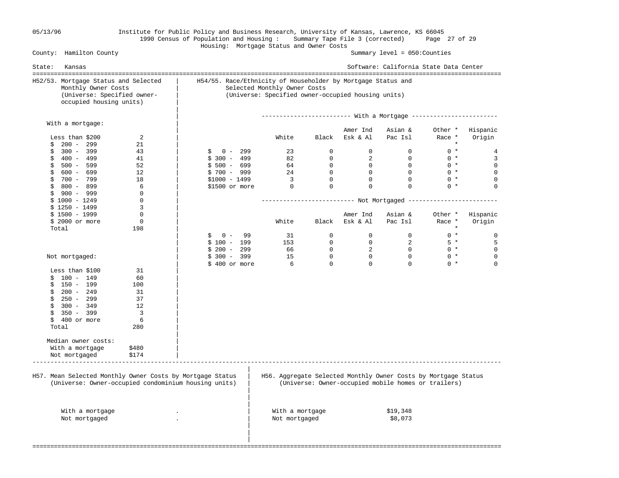## 05/13/96 Institute for Public Policy and Business Research, University of Kansas, Lawrence, KS 66045 1990 Census of Population and Housing : Summary Tape File 3 (corrected) Page 27 of 29 Housing: Mortgage Status and Owner Costs

| H52/53. Mortgage Status and Selected                      | H54/55. Race/Ethnicity of Householder by Mortgage Status and |                                                    |                |                |                                                                |                   |                    |  |  |
|-----------------------------------------------------------|--------------------------------------------------------------|----------------------------------------------------|----------------|----------------|----------------------------------------------------------------|-------------------|--------------------|--|--|
| Monthly Owner Costs                                       |                                                              | Selected Monthly Owner Costs                       |                |                |                                                                |                   |                    |  |  |
| (Universe: Specified owner-<br>occupied housing units)    |                                                              | (Universe: Specified owner-occupied housing units) |                |                |                                                                |                   |                    |  |  |
|                                                           |                                                              |                                                    |                |                |                                                                |                   |                    |  |  |
| With a mortgage:                                          |                                                              |                                                    |                | Amer Ind       |                                                                |                   |                    |  |  |
| Less than \$200<br>2                                      |                                                              | White                                              | Black          | Esk & Al       | Asian &<br>Pac Isl                                             | Other *<br>Race * | Hispanic<br>Origin |  |  |
| $200 - 299$<br>\$<br>21                                   |                                                              |                                                    |                |                |                                                                | $\star$           |                    |  |  |
| $300 - 399$<br>43<br>\$                                   | $0 - 299$<br>\$                                              | 23                                                 | $\mathbf 0$    | $\overline{0}$ | $\mathbf 0$                                                    | $0 *$             | 4                  |  |  |
| 400 - 499<br>41<br>\$                                     | $$300 - 499$                                                 | 82                                                 | $\mathbf{0}$   | 2              | $\Omega$                                                       | $0 *$             | 3                  |  |  |
| \$<br>$500 - 599$<br>52                                   | $$500 - 699$                                                 | 64                                                 | $\mathbf{0}$   | $\overline{0}$ | $\Omega$                                                       | $0 *$             | $\mathbf 0$        |  |  |
| \$<br>600 - 699<br>12                                     | $$700 - 999$                                                 | 24                                                 | $\overline{0}$ | $\overline{0}$ | $\overline{0}$                                                 | $0 *$             | $\mathbf 0$        |  |  |
| 700 - 799<br>18<br>\$                                     | $$1000 - 1499$                                               | $\overline{\mathbf{3}}$                            | $\Omega$       | $\mathsf{O}$   | $\Omega$                                                       | $0 *$             | 0                  |  |  |
| $$800 - 899$<br>6                                         | \$1500 or more                                               | $\bigcirc$                                         | $\Omega$       | 0              | $\Omega$                                                       | $0 *$             | $\Omega$           |  |  |
| \$<br>900 - 999<br>$\mathbf 0$                            |                                                              |                                                    |                |                |                                                                |                   |                    |  |  |
| $$1000 - 1249$<br>$\mathbf 0$                             |                                                              |                                                    |                |                |                                                                |                   |                    |  |  |
| 3<br>$$1250 - 1499$                                       |                                                              |                                                    |                |                |                                                                |                   |                    |  |  |
| $$1500 - 1999$<br>$\mathbf 0$                             |                                                              |                                                    |                | Amer Ind       | Asian &                                                        | Other *           | Hispanic           |  |  |
| $\mathbf 0$<br>$$2000$ or more                            |                                                              | White                                              | Black          | Esk & Al       | Pac Isl                                                        | Race *            | Origin             |  |  |
| Total<br>198                                              |                                                              |                                                    |                |                |                                                                | $\star$           |                    |  |  |
|                                                           | $0 -$<br>99<br>\$                                            | 31                                                 | $\Omega$       | $\Omega$       | $\overline{0}$                                                 | $0 *$             | $\mathbf 0$        |  |  |
|                                                           | $$100 - 199$                                                 | 153                                                | $\mathsf{O}$   | $\mathbf 0$    | 2                                                              | $5*$              | 5                  |  |  |
|                                                           | $$200 - 299$                                                 | 66                                                 | $\mathbf{0}$   | 2              | $\bigcirc$                                                     | $0 *$             | $\mathbf 0$        |  |  |
|                                                           | $$300 - 399$                                                 | 15                                                 | $\mathbf{0}$   | $\overline{0}$ | $\Omega$                                                       | $0 *$             | $\mathbf 0$        |  |  |
| Not mortgaged:                                            | \$400 or more                                                | 6                                                  | $\Omega$       | $\Omega$       | $\Omega$                                                       | $0 *$             | $\Omega$           |  |  |
| 31                                                        |                                                              |                                                    |                |                |                                                                |                   |                    |  |  |
| Less than \$100                                           |                                                              |                                                    |                |                |                                                                |                   |                    |  |  |
| $$100 - 149$<br>60                                        |                                                              |                                                    |                |                |                                                                |                   |                    |  |  |
| 150 - 199<br>100<br>\$                                    |                                                              |                                                    |                |                |                                                                |                   |                    |  |  |
| $$200 - 249$<br>31                                        |                                                              |                                                    |                |                |                                                                |                   |                    |  |  |
| 250 - 299<br>37<br>\$                                     |                                                              |                                                    |                |                |                                                                |                   |                    |  |  |
| $300 - 349$<br>\$<br>12                                   |                                                              |                                                    |                |                |                                                                |                   |                    |  |  |
| 3<br>\$<br>$350 - 399$                                    |                                                              |                                                    |                |                |                                                                |                   |                    |  |  |
| \$<br>400 or more<br>6                                    |                                                              |                                                    |                |                |                                                                |                   |                    |  |  |
| Total<br>280                                              |                                                              |                                                    |                |                |                                                                |                   |                    |  |  |
|                                                           |                                                              |                                                    |                |                |                                                                |                   |                    |  |  |
| Median owner costs:                                       |                                                              |                                                    |                |                |                                                                |                   |                    |  |  |
| With a mortgage<br>\$480                                  |                                                              |                                                    |                |                |                                                                |                   |                    |  |  |
| \$174<br>Not mortgaged                                    |                                                              |                                                    |                |                |                                                                |                   |                    |  |  |
|                                                           |                                                              |                                                    |                |                |                                                                |                   |                    |  |  |
| H57. Mean Selected Monthly Owner Costs by Mortgage Status |                                                              |                                                    |                |                | H56. Aggregate Selected Monthly Owner Costs by Mortgage Status |                   |                    |  |  |
| (Universe: Owner-occupied condominium housing units)      |                                                              |                                                    |                |                | (Universe: Owner-occupied mobile homes or trailers)            |                   |                    |  |  |
|                                                           |                                                              |                                                    |                |                |                                                                |                   |                    |  |  |
|                                                           |                                                              |                                                    |                |                |                                                                |                   |                    |  |  |
| With a mortgage                                           |                                                              | With a mortgage                                    |                |                | \$19,348                                                       |                   |                    |  |  |
| Not mortgaged                                             |                                                              | Not mortgaged                                      |                |                | \$8,073                                                        |                   |                    |  |  |
|                                                           |                                                              |                                                    |                |                |                                                                |                   |                    |  |  |
|                                                           |                                                              |                                                    |                |                |                                                                |                   |                    |  |  |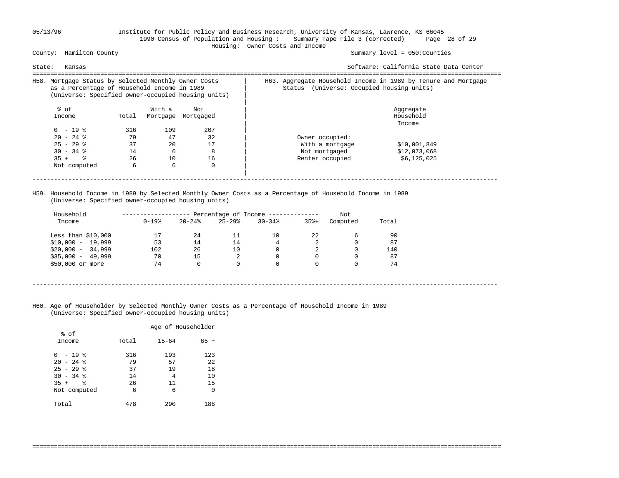### 05/13/96 Institute for Public Policy and Business Research, University of Kansas, Lawrence, KS 66045 1990 Census of Population and Housing : Summary Tape File 3 (corrected) Page 28 of 29 Housing: Owner Costs and Income

Summary level =  $050$ : Counties

| State:<br>Kansas                                                                                                                                          |                                  |                                 |                                 | Software: California State Data Center                                                                                |  |  |  |  |
|-----------------------------------------------------------------------------------------------------------------------------------------------------------|----------------------------------|---------------------------------|---------------------------------|-----------------------------------------------------------------------------------------------------------------------|--|--|--|--|
| H58. Mortgage Status by Selected Monthly Owner Costs<br>as a Percentage of Household Income in 1989<br>(Universe: Specified owner-occupied housing units) |                                  |                                 |                                 | H63. Aggregate Household Income in 1989 by Tenure and Mortgage<br>(Universe: Occupied housing units)<br>Status        |  |  |  |  |
| % of<br>Income                                                                                                                                            | Total                            | With a<br>Mortgage              | Not<br>Mortgaged                | Aggregate<br>Household<br>Income                                                                                      |  |  |  |  |
| $0 - 19$ %<br>$20 - 24$ %<br>$25 - 29$ %<br>$30 - 34$ %<br>$35 +$ $8$<br>Not computed                                                                     | 316<br>79<br>37<br>14<br>26<br>6 | 109<br>47<br>20<br>6<br>10<br>6 | 207<br>32<br>17<br>8<br>16<br>0 | Owner occupied:<br>With a mortgage<br>\$10,001,849<br>\$12,073,068<br>Not mortgaged<br>\$6,125,025<br>Renter occupied |  |  |  |  |
|                                                                                                                                                           |                                  |                                 |                                 |                                                                                                                       |  |  |  |  |

 H59. Household Income in 1989 by Selected Monthly Owner Costs as a Percentage of Household Income in 1989 (Universe: Specified owner-occupied housing units)

| Household           |            |           |           | Percentage of Income ----------- |         | Not      |       |
|---------------------|------------|-----------|-----------|----------------------------------|---------|----------|-------|
| Income              | $0 - 19$ % | $20 - 24$ | $25 - 29$ | $30 - 34$                        | $35% +$ | Computed | Total |
| Less than $$10,000$ |            | 24        | 11        | 10                               | 22      | 6        | 90    |
| $$10,000 - 19,999$  | 53         | 14        | 14        | 4                                |         | 0        | 87    |
| $$20,000 - 34,999$  | 102        | 26        | 10        |                                  | 2       | 0        | 140   |
| $$35,000 - 49,999$  | 70         | 15        | 2         |                                  |         | 0        | 87    |
| \$50,000 or more    | 74         |           |           |                                  |         |          | 74    |

- ----------------------------------------------------------------------------------------------------------------------------------
- H60. Age of Householder by Selected Monthly Owner Costs as a Percentage of Household Income in 1989 (Universe: Specified owner-occupied housing units)

|                | Age of Householder |           |        |  |  |  |
|----------------|--------------------|-----------|--------|--|--|--|
| % of<br>Income | Total              | $15 - 64$ | $65 +$ |  |  |  |
| - 19 %<br>0    | 316                | 193       | 123    |  |  |  |
| $20 - 24$ %    | 79                 | 57        | 22     |  |  |  |
| $25 - 29$ %    | 37                 | 19        | 18     |  |  |  |
| $30 - 34$ %    | 14                 | 4         | 10     |  |  |  |
| る<br>$35 +$    | 26                 | 11        | 15     |  |  |  |
| Not computed   | 6                  | 6         | 0      |  |  |  |
| Total          | 478                | 290       | 188    |  |  |  |